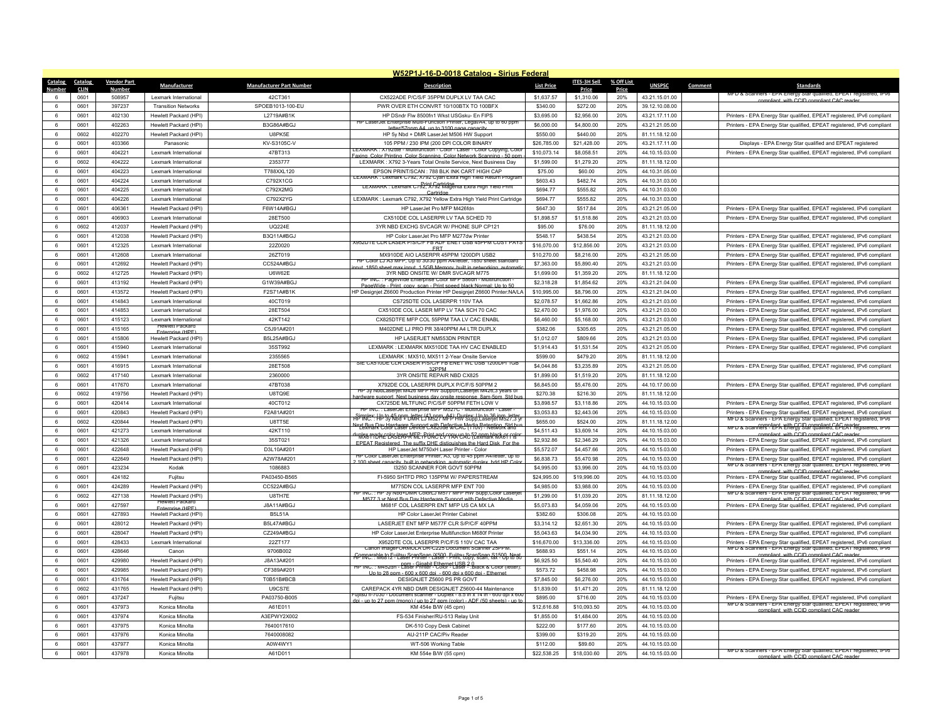| W52P1J-16-D-0018 Catalog - Sirius Federal |                        |                                                 |                                 |                                                                                                                                                   |                            |                           |            |                                  |         |                                                                                                                                                  |
|-------------------------------------------|------------------------|-------------------------------------------------|---------------------------------|---------------------------------------------------------------------------------------------------------------------------------------------------|----------------------------|---------------------------|------------|----------------------------------|---------|--------------------------------------------------------------------------------------------------------------------------------------------------|
| Catalog<br>Catalog                        | <b>Vendor Part</b>     | Manufacturer                                    | <b>Manufacturer Part Number</b> | <b>Description</b>                                                                                                                                | <b>List Price</b>          | ITES-3H Sell              | % Off List | <b>UNSPSC</b>                    | Comment | <b>Standards</b>                                                                                                                                 |
| <b>CLIN</b>                               | <b>Numbe</b><br>508957 | Lexmark International                           | 42CT361                         |                                                                                                                                                   |                            | Price                     | Price      |                                  |         | MFD & Scanners - EPA Ene<br>ea. EPEAT reais                                                                                                      |
| 0601<br>0601<br>$\epsilon$                | 397237                 | <b>Transition Networks</b>                      |                                 | CX522ADE P/C/S/F 35PPM DUPLX LV TAA CAC<br>PWR OVER FTH CONVRT 10/100BTX TO 100BFX                                                                | \$1,637.57<br>\$340.00     | \$1,310.06<br>\$272.00    | 20%<br>20% | 43.21.15.01.00                   |         | compliant with CCID compliant CAC reader                                                                                                         |
| 0601<br>6                                 | 402130                 | Hewlett Packard (HPI)                           | SPOEB1013-100-EU<br>L2719A#B1K  | HP DSndr Flw 8500fn1 Wkst USGsku- En FIPS                                                                                                         | \$3,695.00                 | \$2,956.00                | 20%        | 39.12.10.08.00<br>43.21.17.11.00 |         | Printers - EPA Energy Star qualified, EPEAT registered, IPv6 compliant                                                                           |
| 6<br>0601                                 | 402263                 |                                                 | B3G86A#BGJ                      | HP LaserJet Enterprise Multi-Function Printer, Legal/A4, up to 60 ppm                                                                             |                            |                           | 20%        |                                  |         |                                                                                                                                                  |
| 6                                         |                        | Hewlett Packard (HPI)                           |                                 | letter/57ppm A4 up to 3100 page capacity                                                                                                          | \$6,000.00                 | \$4,800.00                |            | 43.21.21.05.00                   |         | Printers - EPA Energy Star qualified, EPEAT registered, IPv6 compliant                                                                           |
| 0602<br>0601<br>$\epsilon$                | 402270<br>403366       | Hewlett Packard (HPI)                           | U8PK5E<br>KV-S3105C-V           | HP 5y Nbd + DMR LaserJet M506 HW Support<br>105 PPM / 230 IPM (200 DPI COLOR BINARY                                                               | \$550.00                   | \$440.00<br>\$21,428.00   | 20%<br>20% | 81.11.18.12.00<br>43 21 17 11 00 |         |                                                                                                                                                  |
| 6<br>0601                                 | 404221                 | Panasonic<br>Lexmark International              | 47BT313                         | LEXMARK : X/92dte - Multifunction - Color - Laser - Color Copying, Colo                                                                           | \$26,785.00<br>\$10,073.14 | \$8,058.51                | 20%        | 44.10.15.03.00                   |         | Displays - EPA Energy Star qualified and EPEAT registered<br>Printers - EPA Energy Star qualified, EPEAT registered, IPv6 compliant              |
| 6<br>0602                                 | 404222                 | Lexmark International                           | 2353777                         | in Color Printing, Color Scanning, Color Network Scar<br>LEXMARK: X792 3-Years Total Onsite Service, Next Business Day                            | \$1,599.00                 | \$1,279.20                | 20%        | 81.11.18.12.00                   |         |                                                                                                                                                  |
| 0601<br>6                                 | 404223                 | Lexmark International                           | T788XXL120                      | EPSON PRINT/SCAN · 788 BLK INK CART HIGH CAP                                                                                                      | \$75.00                    | \$60.00                   | 20%        | 44.10.31.05.00                   |         |                                                                                                                                                  |
| $\,6\,$<br>0601                           | 404224                 | Lexmark International                           | C792X1CG                        | LEXMARK : Lexmark C792, X792 Cyan Extra High Yield Return Prograi                                                                                 | \$603.43                   | \$482.74                  | 20%        | 44.10.31.03.00                   |         |                                                                                                                                                  |
| 6<br>0601                                 | 404225                 | Lexmark International                           | C792X2MG                        | LEXMARK : Lexmark C/92, X/92 Magenta Extra High Yield Print                                                                                       | \$694.77                   | \$555.82                  | 20%        | 44.10.31.03.00                   |         |                                                                                                                                                  |
| 0601<br>$\epsilon$                        | 404226                 | Lexmark International                           | C792X2YG                        | Cartridge<br>LEXMARK : Lexmark C792, X792 Yellow Extra High Yield Print Cartridge                                                                 | \$694.77                   | \$555.82                  | 20%        | 44.10.31.03.00                   |         |                                                                                                                                                  |
| $\,6\,$<br>0601                           | 406361                 | Hewlett Packard (HPI                            | F6W14A#BGJ                      | HP LaserJet Pro MFP M426fdn                                                                                                                       | \$647.30                   | \$517.84                  | 20%        | 43.21.21.05.00                   |         | Printers - EPA Energy Star qualified, EPEAT registered, IPv6 compliant                                                                           |
| 6<br>0601                                 | 406903                 | Lexmark International                           | 28ET500                         | CX510DE COL LASERPR LV TAA SCHED 70                                                                                                               | \$1,898.57                 | \$1,518.86                | 20%        | 43.21.21.03.00                   |         | Printers - EPA Energy Star qualified, EPEAT registered, IPv6 compliant                                                                           |
| 6<br>0602                                 | 412037                 | Hewlett Packard (HPI)                           | <b>UQ224E</b>                   | 3YR NBD EXCHG SVCAGR W/ PHONE SUP CP121                                                                                                           | \$95.00                    | \$76.00                   | 20%        | 81.11.18.12.00                   |         |                                                                                                                                                  |
| 6<br>0601                                 | 412038                 | Hewlett Packard (HPI)                           |                                 | HP Color Laser let Pro MFP M277dw Printer                                                                                                         | \$548.17                   | \$438.54                  | 20%        |                                  |         |                                                                                                                                                  |
| 6<br>0601                                 | 412325                 | Lexmark International                           | B3Q11A#BGJ<br>22Z0020           | <b>X952DTE CLR LASER P/S/C/F FB ADF ENET USB 45PPM CUST PAY</b>                                                                                   | \$16,070.00                | \$12,856.00               | 20%        | 43.21.21.03.00<br>43.21.21.03.00 |         | Printers - EPA Energy Star qualified, EPEAT registered, IPv6 compliant<br>Printers - EPA Energy Star qualified, EPEAT registered, IPv6 compliant |
| 0601<br>6                                 | 412608                 | Lexmark International                           | 26ZT019                         | ERT<br>MX910DE AIO LASERPR 45PPM 1200DPI USB2                                                                                                     | \$10,270.00                | \$8,216.00                | 20%        | 43.21.21.05.00                   |         | Printers - EPA Energy Star qualified, EPEAT registered, IPv6 compliant                                                                           |
| 6<br>0601                                 | 412692                 | Hewlett Packard (HPI)                           | CC524A#BGJ                      | Color LJ A3 MFP, Up to 30/30 ppm A4/letter, 1850 sheet standard                                                                                   | \$7,363.00                 | \$5,890.40                | 20%        | 43.21.21.03.00                   |         | Printers - EPA Energy Star qualified, EPEAT registered, IPv6 compliant                                                                           |
| 6<br>0602                                 | 412725                 | Hewlett Packard (HPI)                           | <b>U6W62E</b>                   | eet max input 1 5GB Memory built in network<br>3YR NBD ONSITE W/ DMR SVCAGR M775                                                                  | \$1,699.00                 | \$1,359.20                | 20%        | 81.11.18.12.00                   |         |                                                                                                                                                  |
| 0601<br>6                                 | 413192                 | Hewlett Packard (HPI)                           | G1W39A#BGJ                      | INC. : Pagevvige Enterprise Color MFP 586gn - Multifunt                                                                                           | \$2,318.28                 | \$1,854.62                | 20%        | 43.21.21.04.00                   |         |                                                                                                                                                  |
| 6<br>0601                                 | 413572                 | Hewlett Packard (HPI                            | F2S71A#B1K                      | PageWide - Print, conv. scan - Print speed black:Normal: Un to 50                                                                                 | \$10,995.00                | \$8,796.00                | 20%        |                                  |         | Printers - EPA Energy Star qualified, EPEAT registered, IPv6 compliant<br>Printers - EPA Energy Star qualified, EPEAT registered, IPv6 compliant |
| 0601<br>6                                 | 414843                 | Lexmark International                           | 40CT019                         | HP Designjet Z6600 Production Printer HP Designjet Z6600 Printer:NA/LA<br>CS725DTE COL LASERPR 110V TAA                                           | \$2,078.57                 | \$1,662.86                | 20%        | 43.21.21.04.00<br>43.21.21.03.00 |         | Printers - EPA Energy Star qualified, EPEAT registered, IPv6 compliant                                                                           |
| 0601<br>6                                 | 414853                 | Lexmark International                           | 28ET504                         | CX510DE COL LASER MFP LV TAA SCH 70 CAC                                                                                                           | \$2,470.00                 | \$1,976.00                | 20%        | 43.21.21.03.00                   |         | Printers - EPA Energy Star qualified, EPEAT registered, IPv6 compliant                                                                           |
| 6<br>0601                                 | 415123                 | Lexmark International                           | 42KT142                         | CX825DTFE MFP COL 55PPM TAA LV CAC ENABL                                                                                                          | \$6,460.00                 | \$5,168.00                | 20%        |                                  |         | Printers - EPA Energy Star qualified, EPEAT registered, IPv6 compliant                                                                           |
| 0601<br>6                                 | 415165                 | <b>Hewlett Packard</b>                          | C5.191A#201                     | M402DNE LJ PRO PR 38/40PPM A4 LTR DUPLX                                                                                                           | \$382.06                   | \$305.65                  | 20%        | 43.21.21.03.00<br>43.21.21.05.00 |         | Printers - EPA Energy Star qualified, EPEAT registered, IPv6 compliant                                                                           |
| 0601<br>6                                 | 415806                 | Enternrise (HPE)<br>Hewlett Packard (HPI)       | B5L25A#BGJ                      | HP LASERJET NM553DN PRINTER                                                                                                                       | \$1,012.07                 | \$809.66                  | 20%        | 43.21.21.03.00                   |         | Printers - EPA Energy Star qualified, EPEAT registered, IPv6 compliant                                                                           |
| 6                                         | 415940                 |                                                 |                                 | LEXMARK : LEXMARK MX510DE TAA HV CAC ENABLED                                                                                                      |                            | \$1,531.54                | 20%        |                                  |         |                                                                                                                                                  |
| 0601<br>0602<br>6                         | 415941                 | Lexmark International<br>Lexmark International  | 35ST992<br>2355565              | I FXMARK : MX510, MX511 2-Year Onsite Service                                                                                                     | \$1,914.43<br>\$599.00     | \$479.20                  | 20%        | 43.21.21.05.00<br>81.11.18.12.00 |         | Printers - EPA Energy Star qualified, EPEAT registered, IPv6 compliant                                                                           |
| 6<br>0601                                 | 416915                 | Lexmark International                           | 28ET508                         | SIE CX510DE CLR LASER P/S/C/F FB ENET WL USB 1200DPI 1GB                                                                                          | \$4,044.86                 | \$3,235.89                | 20%        | 43.21.21.05.00                   |         | Printers - EPA Energy Star qualified, EPEAT registered, IPv6 compliant                                                                           |
| 6<br>0602                                 | 417140                 | Lexmark International                           | 2360000                         | 32PPM<br>3YR ONSITE REPAIR NBD CX825                                                                                                              | \$1,899.00                 | \$1,519.20                | 20%        | 81.11.18.12.00                   |         |                                                                                                                                                  |
| 0601<br>-6                                | 417670                 | Lexmark International                           | 47BT038                         | X792DE COL LASERPR DUPLX P/C/F/S 50PPM 2                                                                                                          | \$6,845.00                 | \$5,476.00                | 20%        | 44.10.17.00.00                   |         | Printers - EPA Energy Star qualified, EPEAT registered, IPv6 compliant                                                                           |
| 6<br>0602                                 | 419756                 | Hewlett Packard (HPI)                           | U8TQ9E                          | NbdLaseriet M426 MFP HW Support.Laseriet M426.3 vears o                                                                                           | \$270.38                   | \$216.30                  | 20%        | 81.11.18.12.00                   |         |                                                                                                                                                  |
| 6<br>0601                                 | 420414                 | Lexmark International                           | 40CT012                         | support. Next business day onsite response. 8am-5pm. Std bu<br>CX725DE MLTFUNC P/C/S/F 50PPM FETH LOW V                                           | \$3,898.57                 | \$3,118.86                | 20%        | 44.10.15.03.00                   |         | Printers - EPA Energy Star qualified, EPEAT registered, IPv6 compliant                                                                           |
| 0601<br>6                                 | 420843                 |                                                 | F2A81A#201                      | INC.: LaserJet Enterprise MFP M527C - Multifunction - Laser                                                                                       | \$3,053.83                 | \$2,443.06                | 20%        |                                  |         | Printers - EPA Energy Star qualified, EPEAT registered, IPv6 compliant                                                                           |
| 6<br>0602                                 | 420844                 | Hewlett Packard (HPI)<br>Hewlett Packard (HPI   | U8TT5E                          | APMRCY: HP '9,45aPPDRTECLA3.s27MAD AVPSupp, Laseriet M527,35                                                                                      | \$655.00                   | \$524.00                  | 20%        | 44.10.15.03.00                   |         | MFD & Scanners - EPA Energy Star qualified, EPEAT registered, IPV6                                                                               |
| 0601<br>6                                 | 421273                 | Lexmark International                           | 42KT110                         | Next Bus Day Hardware Support with Defective Media Retention, Std.br<br>Lexmark Color Laser Device CX820de w/CAC (110y) - Network and             | \$4,511.43                 | \$3,609.14                | 20%        | 81.11.18.12.00<br>44.10.15.03.00 |         | MFD & Scanners - EPA Energy Star qualified. EPEA1 requisiered. IPv6                                                                              |
| 0601<br>6                                 | 421326                 | Lexmark International                           | 35ST021                         | <u>"INSKFROHEPASERFAMFE; PUNCPLYPAX CAC F2.ppm black of colc</u>                                                                                  | \$2,932.86                 | \$2,346.29                | 20%        | 44.10.15.03.00                   |         | compliant with CCID compliant CAC rea<br>Printers - EPA Energy Star qualified, EPEAT registered, IPv6 compliant                                  |
| 6<br>0601                                 | 422648                 | Hewlett Packard (HPI                            | D3I 10A#201                     | FPFAT Registered The suffix DHF distiguishes the Hard Disk For the<br>HP Laser Jet M750xH Laser Printer - Color                                   | \$5,572.07                 | \$4,457.66                | 20%        | 44.10.15.03.00                   |         | Printers - EPA Energy Star qualified, EPEAT registered, IPv6 compliant                                                                           |
| 6<br>0601                                 | 422649                 | Hewlett Packard (HPI)                           | A2W78A#201                      | HP Color LaserJet Enterprise Printer, A3, Up to 45 ppm A4/letter, up to                                                                           | \$6,838.73                 | \$5,470.98                | 20%        | 44.10.15.03.00                   |         | Printers - EPA Energy Star qualified, EPEAT registered, IPv6 compliant                                                                           |
|                                           |                        |                                                 |                                 | 2.100 sheet canacity, built in networking, automatic duplex, hdd HP Co                                                                            |                            |                           |            |                                  |         | MFD & Scanners - EPA Energy Star qualified, EPEAT registered, IPV6                                                                               |
| 0601<br>6<br>6<br>0601                    | 423234<br>424182       | Kodak<br>Fuitsu                                 | 1086883<br>PA03450-B565         | I3250 SCANNER FOR GOVT 50PPM<br>FI-5950 SHTFD PRO 135PPM W/ PAPERSTREAM                                                                           | \$4,995.00<br>\$24,995.00  | \$3,996.00<br>\$19,996.00 | 20%<br>20% | 44.10.15.03.00<br>44.10.15.03.00 |         | t_with CCID compliant CAC rear<br>Printers - EPA Energy Star qualified, EPEAT registered, IPv6 compliant                                         |
| 6<br>0601                                 | 424289                 | Hewlett Packard (HPI)                           | CC522A#BGJ                      | M775DN COLLASERPR MEP ENT 700                                                                                                                     | \$4,985.00                 | \$3,988.00                | 20%        | 44.10.15.03.00                   |         | Printers - EPA Energy Star qualified, EPEAT registered, IPv6 compliant                                                                           |
|                                           |                        |                                                 |                                 | 3V Nbd+DMR ColorLUM577 MEP HW Supp Color Laserie<br>HP INC: HP                                                                                    |                            |                           |            |                                  |         | MFD & Scanners - EPA Energy Star qualified, EPEAT registered, IPv6                                                                               |
| 0602<br>6<br>$\epsilon$<br>0601           | 427138<br>427597       | Hewlett Packard (HPI)<br><b>Hewlett Packard</b> | U8TH7E<br>J8A11A#BGJ            | M577.3 vr Next Bus Day Hardware Support with Defective Media<br>M681F COL LASERPR ENT MFP US CA MX LA                                             | \$1,299.00<br>\$5,073.83   | \$1,039.20<br>\$4,059.06  | 20%<br>20% | 81.11.18.12.00<br>44.10.15.03.00 |         | compliant with CCID compliant CAC reade<br>Printers - EPA Energy Star qualified, EPEAT registered, IPy6 compliant                                |
| 6<br>0601                                 | 427893                 | Enternrise (HPE)<br>Hewlett Packard (HPI)       | <b>B5L51A</b>                   | HP Color Laser let Printer Cabinet                                                                                                                | \$382.60                   | \$306.08                  | 20%        | 44.10.15.03.00                   |         |                                                                                                                                                  |
| 0601<br>6                                 | 428012                 | Hewlett Packard (HPI)                           | B5L47A#BGJ                      | LASERJET ENT MFP M577F CLR S/P/C/F 40PPM                                                                                                          | \$3,314.12                 | \$2,651.30                | 20%        | 44.10.15.03.00                   |         | Printers - EPA Energy Star qualified, EPEAT registered, IPv6 compliant                                                                           |
| $6\overline{6}$<br>0601                   | 428047                 | Hewlett Packard (HPI)                           | CZ249A#BGJ                      | HP Color LaserJet Enterprise Multifunction M680f Printer                                                                                          | \$5,043.63                 | \$4,034.90                | 20%        | 44.10.15.03.00                   |         | Printers - EPA Energy Star qualified, EPEAT registered, IPv6 compliant                                                                           |
| 0601<br>6                                 | 428433                 | Lexmark International                           | 22ZT177                         | X952DTE COL LASERPR P/C/F/S 110V CAC TAA                                                                                                          | \$16,670.00                | \$13,336.00               | 20%        | 44.10.15.03.00                   |         | Printers - EPA Energy Star qualified, EPEAT registered, IPv6 compliant                                                                           |
|                                           |                        |                                                 |                                 | Canon imagel ORMULA DR-C225 Document Scanner 25PPI                                                                                                |                            |                           |            |                                  |         | MFD & Scanners - EPA Energy Star qualitied, EPEAT registered, IPV6                                                                               |
| 6<br>0601                                 | 428646                 | Canor                                           | 9706B002                        | Apmnarable to Euiltsu ScanSnan iX500. Fuiltsu ScanSnan S1500. Negt.<br>ApmnC: : M6812 - Laser Printer - Laser - Print, copy, scan, fax - Up to 50 | \$688.93                   | \$551.14                  | 20%        | 44.10.15.03.00                   |         | ompliant, with CCID compliant CAC rear                                                                                                           |
| $\,6\,$<br>0601<br>0601<br>6              | 429980<br>429985       | Hewlett Packard (HPI)<br>Hewlett Packard (HPI)  | J8A13A#201<br>CF389A#201        | FIP INC. : M452dn - Pam - Gigabit Ethernet USB 2.0<br>FIP INC. : M452dn - Laser Printer - Color - Laser - :Black & Color (lette                   | \$6,925.50<br>\$573.72     | \$5,540.40<br>\$458.98    | 20%<br>20% | 44.10.15.03.00<br>44.10.15.03.00 |         | Printers - EPA Energy Star qualified, EPEAT registered, IPv6 compliant<br>Printers - EPA Energy Star qualified, EPEAT registered, IPv6 compliant |
| 6<br>0601                                 | 431764                 |                                                 |                                 | Un to 28 npm - 600 x 600 dpi - 600 dpi x 600 dpi - Ethi<br>DESIGNJET 75600 PS PR GOVT                                                             |                            |                           | 20%        |                                  |         |                                                                                                                                                  |
|                                           |                        | Hewlett Packard (HPI)                           | T0B51B#BCB                      |                                                                                                                                                   | \$7,845.00                 | \$6,276.00                |            | 44.10.15.03.00                   |         | Printers - EPA Energy Star qualified, EPEAT registered, IPv6 compliant                                                                           |
| $\,6\,$<br>0602<br>0601                   | 431765<br>437247       | Hewlett Packard (HPI)                           | U9CS7E<br>PA03750-B005          | CAREPACK 4YR NBD DMR DESIGNJET Z5600-44 Maintenance<br>ujitsu fi-7030 - Document scanner - Duplex - 8.5 in x 14 in - 600 dpi x 60                 | \$1,839.00<br>\$895.00     | \$1,471.20<br>\$716.00    | 20%<br>20% | 81.11.18.12.00<br>44.10.15.03.00 |         |                                                                                                                                                  |
| 6                                         |                        | Fuiitsu                                         | A61F011                         | $\ln i$ - un to 27 nnm (mono) / un to 27 nnm (color) - ADE (50 sheets) - un                                                                       | \$12,616.88                |                           |            |                                  |         | Printers - EPA Energy Star qualified, EPEAT registered, IPv6 compliant<br>MFD & Scanners - EPA Energy Star qualified, EPEAT registered, IPV6     |
| $\,6\,$<br>0601<br>6                      | 437973                 | Konica Minolta                                  |                                 | KM 454e B/W (45 cpm)                                                                                                                              |                            | \$10,093.50               | 20%        | 44.10.15.03.00                   |         | poliant with CCID compliant CAC rear                                                                                                             |
| 0601<br>0601                              | 437974<br>437975       | Konica Minolta                                  | A3EPWY2X002<br>7640017610       | FS-534 Finisher/RU-513 Relay Unit                                                                                                                 | \$1,855.00                 | \$1,484.00                | 20%<br>20% | 44.10.15.03.00                   |         |                                                                                                                                                  |
| 6<br>0601<br>6                            | 437976                 | Konica Minolta                                  | 7640008082                      | DK-510 Copy Desk Cabinet<br>AU-211P CAC/Piv Reader                                                                                                | \$222.00<br>\$399.00       | \$177.60<br>\$319.20      | 20%        | 44.10.15.03.00<br>44.10.15.03.00 |         |                                                                                                                                                  |
|                                           |                        | Konica Minolta                                  |                                 |                                                                                                                                                   |                            |                           |            |                                  |         |                                                                                                                                                  |
| 6<br>0601                                 | 437977                 | Konica Minolta                                  | A0W4WY1                         | WT-506 Working Table                                                                                                                              | \$112.00                   | \$89.60                   | 20%        | 44 10 15 03 00                   |         | MFD & Scanners - EPA Energy Star qualified, EPEAT registered, IPV6                                                                               |
| 0601<br>6                                 | 437978                 | Konica Minolta                                  | A61D011                         | KM 554e B/W (55 cpm)                                                                                                                              | \$22,538.25                | \$18,030.60               | 20%        | 44.10.15.03.00                   |         | compliant with CCID compliant CAC reader                                                                                                         |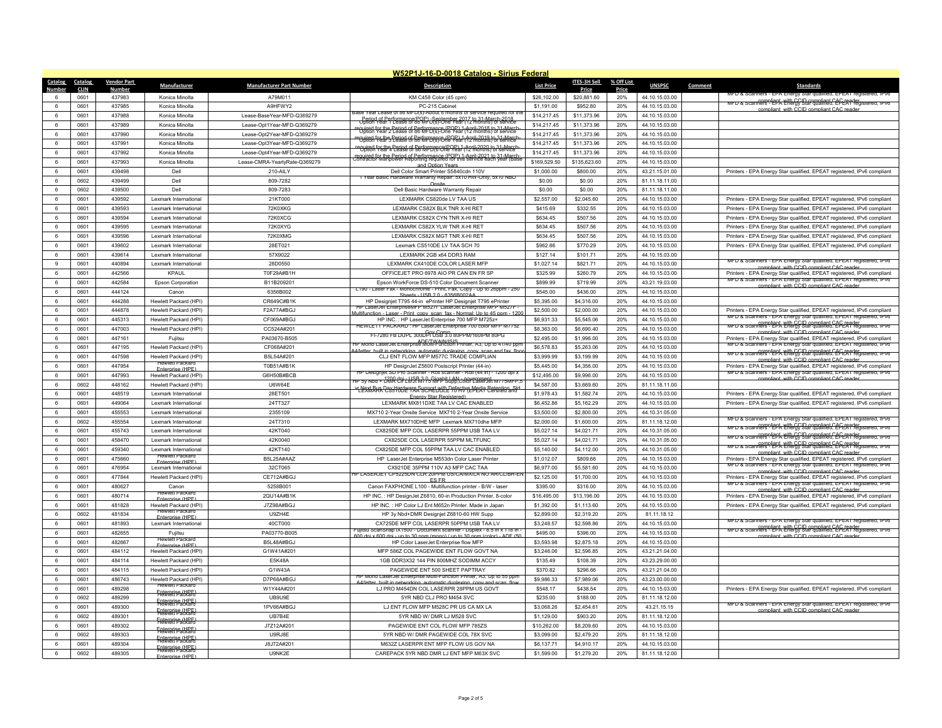| W52P1J-16-D-0018 Catalog - Sirius Federal |                    |                                                  |                                 |                                                                                                                                                   |                           |                         |            |                                  |         |                                                                                                                    |
|-------------------------------------------|--------------------|--------------------------------------------------|---------------------------------|---------------------------------------------------------------------------------------------------------------------------------------------------|---------------------------|-------------------------|------------|----------------------------------|---------|--------------------------------------------------------------------------------------------------------------------|
| Catalog<br>Catalog                        | <b>Vendor Part</b> | Manufacturer                                     | <b>Manufacturer Part Number</b> | <b>Description</b>                                                                                                                                | <b>List Price</b>         | ITES-3H Sell            | % Off List | <b>UNSPSC</b>                    | Comment | <b>Standards</b>                                                                                                   |
| <b>CLIN</b><br>Number                     | <b>Number</b>      |                                                  | A79M011                         |                                                                                                                                                   |                           | Price                   | Price      |                                  |         | nners - FPA Fn<br>ied FPFAI red                                                                                    |
| 0601<br>0601<br>6                         | 437983<br>437985   | Konica Minolta<br>Konica Minolta                 | A9HFWY2                         | KM C458 Color (45 cpm)<br>PC-215 Cabinet                                                                                                          | \$26,102.00<br>\$1.191.00 | \$20,881.60<br>\$952.80 | 20%<br>20% | 44.10.15.03.00<br>44.10.15.03.00 |         | MFD & Scanners - EPA Energy Star qualified, EPEAT registered, IPv6                                                 |
| 6<br>0601                                 | 437988             | Konica Minolta                                   | Lease-BaseYear-MFD-Q369279      | 3ase Year Lease of 86 MFD(s)-About 6 months of service required for t                                                                             | \$14,217.45               | \$11,373.96             | 20%        | 44.10.15.03.00                   |         | compliant, with CCID compliant CAC rea                                                                             |
| 0601<br>6                                 | 437989             | Konica Minolta                                   | Lease-Opt1Year-MFD-Q369279      | Period of Performance(POP) - September 2017 to 31-March-2018<br>Uption Year 1 Lease of 86 MF Disi-One Year (12 months) of service                 | \$14,217.45               | \$11,373.96             | 20%        | 44.10.15.03.00                   |         |                                                                                                                    |
| 6<br>0601                                 | 437990             | Konica Minolta                                   | Lease-Opt2Year-MFD-Q369279      | required for the Period of Performance (POP) 1-April-2018 to 31-March<br>Option Year 2 Lease of 86 MFD(s)-One Year (12 months) of service         | \$14,217.45               | \$11,373.96             | 20%        | 44.10.15.03.00                   |         |                                                                                                                    |
| 0601<br>6                                 | 437991             | Konica Minolta                                   | Lease-Opt3Year-MFD-Q369279      | equited for the Period of Berformance (BOP) 1-April-2019 to 31=March                                                                              | \$14,217.45               | \$11,373.96             | 20%        | 44.10.15.03.00                   |         |                                                                                                                    |
| 0601<br>6                                 | 437992             | Konica Minolta                                   | Lease-Opt4Year-MFD-Q369279      | required for the Period of Performance(POP) 1-April 2020 to 31 March<br>"Option Year 4 Lease of 86 MFD(s-One Year (12 months) of service          | \$14,217.45               | \$11,373.96             | 20%        | 44.10.15.03.00                   |         |                                                                                                                    |
| 6<br>0601                                 | 437993             | Konica Minolta                                   | Lease-CMRA-YearlyRate-Q369279   | required for the Period of Performance (POP) 1-April-2021 to 31-March-<br>Contractor Manpower Reporting required for this service each year (Base | \$169,529.50              | \$135,623.60            | 20%        | 44.10.15.03.00                   |         |                                                                                                                    |
| 0601<br>$6^{\circ}$                       | 439498             | Dell                                             | 210-All Y                       | and Option Years<br>Dell Color Smart Printer S5840cdn 110V                                                                                        | \$1,000.00                | \$800.00                | 20%        | 43 21 15 01 00                   |         | Printers - EPA Energy Star qualified, EPEAT registered, IPv6 compliant                                             |
| 6<br>0602                                 | 439499             | Del                                              | 809-7282                        | Year Basic Hardware Warranty Repair: 5x10 HW-Only, 5x10 NBD                                                                                       | \$0.00                    | \$0.00                  | 20%        | 81.11.18.11.00                   |         |                                                                                                                    |
| 6<br>0602                                 | 439500             | Dell                                             | 809-7283                        | Dell Basic Hardware Warranty Repair                                                                                                               | \$0.00                    | \$0.00                  | 20%        | 81.11.18.11.00                   |         |                                                                                                                    |
| 0601<br>$6^{\circ}$                       | 439592             | I exmark International                           | 21KT000                         | LEXMARK CS820de LV TAA US                                                                                                                         | \$2,557.00                | \$2.045.60              | 20%        | 44.10.15.03.00                   |         | Printers - EPA Energy Star qualified, EPEAT registered, IPv6 compliant                                             |
| 6<br>0601                                 | 439593             | Lexmark International                            | 72K0XKG                         | <b>I FXMARK CS82X BI K TNR X-HI RFT</b>                                                                                                           | \$415.69                  | \$332.55                | 20%        | 44.10.15.03.00                   |         | Printers - EPA Energy Star qualified, EPEAT registered, IPv6 compliant                                             |
| 6<br>0601                                 | 439594             | Lexmark International                            | 72K0XCG                         | LEXMARK CS82X CYN TNR X-HI RET                                                                                                                    | \$634.45                  | \$507.56                | 20%        | 44.10.15.03.00                   |         | Printers - EPA Energy Star qualified, EPEAT registered, IPv6 compliant                                             |
| 0601<br>6                                 | 439595             | I exmark International                           | 72K0XYG                         | LEXMARK CS82X YLW TNR X-HI RET                                                                                                                    | \$634.45                  | \$507.56                | 20%        | 44 10 15 03 00                   |         | Printers - EPA Energy Star qualified, EPEAT registered, IPv6 compliant                                             |
| 6<br>0601                                 | 439596             | Lexmark International                            | 72K0XMG                         | LEXMARK CS82X MGT TNR X-HI RET                                                                                                                    | \$634.45                  | \$507.56                | 20%        | 44.10.15.03.00                   |         | Printers - EPA Energy Star qualified, EPEAT registered, IPv6 compliant                                             |
| 6<br>0601                                 | 439602             | Lexmark International                            | 28ET021                         | Lexmark CS510DE LV TAA SCH 70                                                                                                                     | \$962.86                  | \$770.29                | 20%        | 44.10.15.03.00                   |         | Printers - EPA Energy Star qualified, EPEAT registered, IPv6 compliant                                             |
| 0601<br>$6^{\circ}$                       | 439614             | Lexmark International                            | 57X9022                         | I FXMARK 2GB x64 DDR3 RAM                                                                                                                         | \$127.14                  | \$101.71                | 20%        | 44 10 15 03 00                   |         |                                                                                                                    |
| 0601<br>$\mathbf{q}$                      | 440894             | Lexmark International                            | 28D0550                         | LEXMARK CX410DE COLOR LASER MFP                                                                                                                   | \$1,027.14                | \$821.71                | 20%        | 44.10.15.03.00                   |         | MFD & Scanners - EPA Energy Star qualified, EPEAT registered, IPvb                                                 |
| 6<br>0601                                 | 442566             | KPAUL                                            | T0F29A#B1H                      | OFFICEJET PRO 6978 AIO PR CAN EN FR SP                                                                                                            | \$325.99                  | \$260.79                | 20%        | 44.10.15.03.00                   |         | compliant with CCID compliant CAC read<br>Printers - EPA Energy Star qualified, EPEAT registered, IPv6 compliant   |
| 0601<br>6                                 | 442584             | <b>Epson Corporation</b>                         | B11B209201                      | Epson WorkForce DS-510 Color Document Scanner                                                                                                     | \$899.99                  | \$719.99                | 20%        | 43.21.19.03.00                   |         | MFD & Scanners - EPA Energy Star qualified, EPEAT registered, IPV6                                                 |
| $6\overline{6}$<br>0601                   | 444124             | Canor                                            | 6356B002                        | - Monochrome - Print, Fax, Copy - Up to 26ppm                                                                                                     | \$545.00                  | \$436.00                | 20%        | 44.10.15.03.00                   |         | iant with CCID compliant CAC res                                                                                   |
| 6<br>0601                                 | 444288             | Hewlett Packard (HPI)                            | CR649C#B1k                      | Sheets - USB 2.0 - 6356B002A<br>HP Designjet T795 44-in ePrinter HP Designjet T795 ePrinter                                                       | \$5,395.00                | \$4,316.00              | 20%        | 44.10.15.03.00                   |         |                                                                                                                    |
| 0601<br>6                                 | 444878             | Hewlett Packard (HPI)                            | F2A77A#BGJ                      | HP LaserJet EnterpriseMFP M52/f LaserJet Enterprise MFP M52/F                                                                                     | \$2,500.00                | \$2,000.00              | 20%        | 44.10.15.03.00                   |         | Printers - EPA Energy Star qualified, EPEAT registered, IPv6 compliant                                             |
| $\mathbf{f}$<br>0601                      | 445313             | Hewlett Packard (HPI)                            | CF069A#BG.                      | ion - Laser - Print conv scan fax - Normal: Un to 45 nom - 120<br>HP INC.: HP Laser let Enterprise 700 MFP M725z+                                 | \$6,931.33                | \$5,545.06              | 20%        | 44.10.15.03.00                   |         | MFD & Scanners - EPA Energy Star qualified, EPEAT registered, IPV6                                                 |
| 0601<br>6                                 | 447003             | Hewlett Packard (HPI)                            | CC524A#201                      | HEWLETT PACKARD: HP LaserJet Enterprise /00 color MFP M//5Z                                                                                       | \$8,363.00                | \$6,690.40              | 20%        | 44.10.15.03.00                   |         | MFD & Scanners - EPA Energy Star qualified, EPEAT registered, IPV6                                                 |
| 6<br>0601                                 | 447161             | Fuitsu                                           | PA03670-B505                    | el-7280 FB בספר 300DPL אילולוואר דיוסט די דודי                                                                                                    | \$2,495.00                | \$1,996.00              | 20%        | 44.10.15.03.00                   |         | compliant with CCID compliant CAC rear<br>Printers - EPA Energy Star qualified, EPEAT registered, IPv6 compliant   |
| $6\overline{6}$<br>0601                   | 447195             | Hewlett Packard (HPI)                            | CF068A#201                      | ADF/TWAIN/ISIS<br>IP Mono LaserJet Enterprise Multi-Function Printer, A3, Up to 41/40 ppm                                                         | \$6,578.83                | \$5,263.06              | 20%        | 44.10.15.03.00                   |         | MFD & Scanners - EPA Energy Star qualified, EPEAT registered, IPv6                                                 |
| 0601<br>6                                 | 447598             | Hewlett Packard (HPI)                            | B5I 54A#201                     | built in networking, automatic duplexing, copy, scan and fax, fig<br>CLJ ENT FLOW MEP M577C TRADE COMPLIAN                                        | \$3,999.99                | \$3,199.99              | 20%        | 44.10.15.03.00                   |         | compliant with CCID compliant CAC reader<br>MFD & Scanners - EPA Energy Star qualified, EPEAT registered, IPV6     |
| 6<br>0601                                 | 447954             | <b>Hewlett Packard</b>                           | T0B51A#B1K                      | HP DesignJet Z5600 Postscript Printer (44-in)                                                                                                     | \$5,445.00                | \$4,356.00              | 20%        | 44.10.15.03.00                   |         | compliant with CCID compliant CAC reade<br>Printers - EPA Energy Star qualified, EPEAT registered, IPv6 compliant  |
| 6<br>0601                                 | 447993             | <b>Enternrise (HPF)</b><br>Hewlett Packard (HPI) | G6H50B#BCB                      | HP Designjet SD Pro Scanner - Roll scanner - Roll (44 in) - 1200 dpi x                                                                            | \$12,495.00               | \$9,996.00              | 20%        | 44.10.15.03.00                   |         | MFD & Scanners - EPA Energy Star qualified, EPEA1 registered, IPV6                                                 |
| 0602<br>$6^{\circ}$                       | 448162             | Hewlett Packard (HPI)                            | LI6W64F                         | HP 5y Nbd + DMR Chi LHSB 39 Sinabit LAN convernment                                                                                               | \$4,587.00                | \$3,669.60              | 20%        | 81.11.18.11.00                   |         | nnliant with CCID compliant CAC re-                                                                                |
| 6<br>0601                                 | 448519             | Lexmark International                            | 28ET501                         | "LERMARR POSSHOLD" TRASUPPEL WILL POFFIVE MEdia Betention Str                                                                                     | \$1,978.43                | \$1,582.74              | 20%        | 44.10.15.03.00                   |         | Printers - EPA Energy Star qualified, EPEAT registered, IPv6 compliant                                             |
| $\,6\,$<br>0601                           | 449064             | Lexmark International                            | 24TT327                         | Fnergy Star Registered<br>LEXMARK MX811DXE TAA LV CAC ENABLED                                                                                     | \$6,452.86                | \$5,162.29              | 20%        | 44.10.15.03.00                   |         | Printers - EPA Energy Star qualified, EPEAT registered, IPv6 compliant                                             |
| 0601<br>$\epsilon$                        | 455553             | Lexmark International                            | 2355109                         | MX710 2-Year Onsite Service MX710 2-Year Onsite Service                                                                                           | \$3,500.00                | \$2,800.00              | 20%        | 44.10.31.05.00                   |         |                                                                                                                    |
| 0602<br>6                                 | 455554             | Lexmark International                            | 24T7310                         | LEXMARK MX710DHE MFP Lexmark MX710dhe MFP                                                                                                         | \$2,000,00                | \$1,600.00              | 20%        | 81.11.18.12.00                   |         | MFD & Scanners - EPA Energy Star qualified, EPEA1 registered, IPv6                                                 |
| 6<br>0601                                 | 455743             | Lexmark International                            | 42KT040                         | CX825DE MFP COL LASERPR 55PPM USB TAA LV                                                                                                          | \$5,027.14                | \$4,021.71              | 20%        | 44.10.31.05.00                   |         | complient with CCID complient CAC reader<br>MFD & Scanners - EPA Energy Star qualified, EPEAT registered, IPV6     |
| 0601<br>-6                                | 458470             | Lexmark International                            | 42K0040                         | CX825DE COL LASERPR 55PPM MLTFUNC                                                                                                                 | \$5,027.14                | \$4,021.71              | 20%        | 44 10 31 05 00                   |         | complient with CCID complient CAC reader<br>MFD & Scanners - EPA Energy Star qualified, EPEAT registered, IPV6     |
| $6\overline{6}$<br>0601                   | 459340             | Lexmark International                            | 42KT140                         | CX825DE MFP COL 55PPM TAA LV CAC ENABLED                                                                                                          | \$5,140.00                | \$4.112.00              | 20%        | 44.10.31.05.00                   |         | compliant with CCID compliant CAC reader<br>MFD & Scanners - EPA Energy Star qualified, EPEAT registered, IPV6     |
| 6<br>0601                                 | 475660             | <b>Hewlett Packard</b>                           | B5L25A#AAZ                      | HP LaserJet Enterprise M553dn Color Laser Printer                                                                                                 | \$1,012.07                | 8809.66                 | 20%        | 44.10.15.03.00                   |         | compliant with CCID compliant CAC reade<br>Printers - EPA Energy Star qualified, EPEAT registered, IPv6 compliant  |
| 0601<br>6                                 | 476954             | <b>Enternrise (HPF)</b><br>Lexmark International | 32CT065                         | CX921DE 35PPM 110V A3 MFP CAC TAA                                                                                                                 | \$6,977.00                | \$5,581.60              | 20%        | 44.10.15.03.00                   |         | MFD & Scanners - EPA Energy Star qualified, EPEAT registered, IPv6                                                 |
| 0601<br>6                                 | 477844             | Hewlett Packard (HPI)                            | CE712A#BGJ                      | IP LASERJET CP5225DN CLR 20PPM US/CA/MX/LA NO AR/CL/BR-EI                                                                                         | \$2,125.00                | \$1,700.00              | 20%        | 44.10.15.03.00                   |         | with CCID compliant CAC res<br>Printers - EPA Energy Star qualified, EPEAT registered, IPv6 compliant              |
| 6<br>0601                                 | 480627             | Canon                                            | 5258B001                        | <b>ES FR</b><br>Canon FAXPHONE L100 - Multifunction printer - B/W - laser                                                                         | \$395.00                  | \$316.00                | 20%        | 44 10 15 03 00                   |         | MFD & Scanners - EPA Energy Star qualified. EPEAT registered. IPV6                                                 |
| 0601<br>6                                 | 480714             | Hewlett Packard                                  | 2QU14A#B1K                      | HP INC.: HP DesignJet Z6810, 60-in Production Printer, 8-color                                                                                    | \$16,495.00               | \$13,196.00             | 20%        | 44.10.15.03.00                   |         | compliant, with CCID compliant CAC reade<br>Printers - EPA Energy Star qualified, EPEAT registered, IPv6 compliant |
| $\epsilon$<br>0601                        | 481828             | Fnternrise (HPF)<br>Hewlett Packard (HPI)        | J7Z98A#BGJ                      | HP INC.: HP Color LJ Ent M652n Printer. Made in Japan                                                                                             | \$1,392.00                | \$1,113.60              | 20%        | 44.10.15.03.00                   |         | Printers - EPA Energy Star qualified, EPEAT registered, IPv6 compliant                                             |
| $6 \,$<br>0602                            | 481834             | <b>Hewlett Packard</b>                           | U9ZH4E                          | HP 3y Nbd+DMR Designjet Z6810-60 HW Supp                                                                                                          | \$2,899.00                | \$2,319.20              | 20%        | 81.11.18.12                      |         |                                                                                                                    |
| 0601<br>6                                 | 481893             | Enternrise (HPE)<br>Lexmark International        | 40CT000                         | CX725DE MFP COL LASERPR 50PPM USB TAA LV                                                                                                          | \$3,248.57                | \$2,598.86              | 20%        | 44.10.15.03.00                   |         | MFD & Scanners - EPA Energy Star qualified, EPEA1 registered, IPv6                                                 |
| $\mathbf{f}$<br>0601                      | 482655             | Fujitsu                                          | PA03770-B005                    | uitsu ScanSnap (X1500 - Document scanner - Duplex - 8.5 in x 118 in                                                                               | \$495.00                  | \$396.00                | 20%        | 44.10.15.03.00                   |         | MFD & Scanners - EPA Energy Star qualified, EPEAT registered, IPv6                                                 |
| 0601<br>6                                 | 482667             | <b>Tewlett Packar</b>                            | B5L48A#BGJ                      | 600 dpi x 600 dpi - up to 30 ppm (mono) / up to 30 ppm (color) - ADE (50<br>HP Color Laser let Enterprise flow MFP                                | \$3,593.98                | \$2,875.18              | 20%        | 44.10.15.03.00                   |         | CCID compliant CAC                                                                                                 |
| 6<br>0601                                 | 484112             | Fnterprise (HPF)<br>Hewlett Packard (HPI)        | G1W41A#201                      | MFP 586Z COL PAGEWIDE ENT FLOW GOVT NA                                                                                                            | \$3,246.06                | \$2,596.85              | 20%        | 43.21.21.04.00                   |         |                                                                                                                    |
| $\,6\,$<br>0601                           | 484114             | Hewlett Packard (HPI)                            | E5K48A                          | 1GB DDR3X32 144 PIN 800MHZ SODIMM ACCY                                                                                                            | \$135.49                  | \$108.39                | 20%        | 43.23.29.00.00                   |         |                                                                                                                    |
| 0601<br>6                                 | 484115             | Hewlett Packard (HPI)                            | G1W43A                          | PAGEWIDE ENT 500 SHEET PAPTRAY                                                                                                                    | \$370.82                  | \$296.66                | 20%        | 43.21.21.04.00                   |         |                                                                                                                    |
| 6<br>0601                                 | 486743             | Hewlett Packard (HPI)                            | D7P68A#BG.                      | HP Mono LaserJet Enterprise Multi-Function Printer, A3, Up to 55 ppm                                                                              | \$9,986.33                | \$7,989.06              | 20%        | 43.23.00.00.00                   |         |                                                                                                                    |
| 6<br>0601                                 | 489298             | <b>Hewlett Packard</b>                           | W1Y44A#201                      | built in networking, automatic duplexing, copy and scal<br>LJ PRO M454DN COL LASERPR 28PPM US GOVT                                                | \$548.17                  | \$438.54                | 20%        | 44.10.15.03.00                   |         | Printers - EPA Energy Star qualified, EPEAT registered, IPv6 compliant                                             |
| 0602<br>6                                 | 489299             | <b>Faterative (HPF)</b>                          | <b>UB9U9F</b>                   | 5YR NBD CLJ PRO M454 SVC                                                                                                                          | \$235.00                  | \$188.00                | 20%        | 81.11.18.12.00                   |         |                                                                                                                    |
| $\,6\,$<br>0601                           | 489300             | <del>Fiatoriali Packard</del>                    | 1PV66A#BGJ                      | LJ ENT FLOW MFP M528C PR US CA MX LA                                                                                                              | \$3,068.26                | \$2,454.61              | 20%        | 43.21.15.15                      |         | MFD & Scanners - EPA Energy Star qualified, EPEAT registered, IPV6                                                 |
| 6<br>0602                                 | 489301             | Frewreri & (HPF)                                 | UB7B4E                          | 5YR NBD W/ DMR LJ M528 SVC                                                                                                                        | \$1,129.00                | \$903.20                | 20%        | 81.11.18.12.00                   |         | ompliant with CCID compliant CAC read                                                                              |
| 0601<br>$\epsilon$                        | 489302             | Fretorert se there                               | J7Z12A#201                      | PAGEWIDE ENT COL ELOW MEP 7857S                                                                                                                   | \$10,262.00               | \$8,209.60              | 20%        | 44.10.15.03.00                   |         |                                                                                                                    |
| $6 \,$<br>0602                            | 489303             | Enterprise (HPF)<br>Hewlett Packard              | U9RJ8E                          | 5YR NBD W/ DMR PAGEWIDE COL 78X SVC                                                                                                               | \$3,099.00                | \$2,479.20              | 20%        | 81.11.18.12.00                   |         |                                                                                                                    |
| 6<br>0601                                 | 489304             | <b>Enterprise (HPF</b>                           | J8J72A#201                      | M632Z LASERPR ENT MFP FLOW US GOV NA                                                                                                              | \$6,137.71                | \$4,910.17              | 20%        | 44.10.15.03.00                   |         |                                                                                                                    |
| 0602<br>6                                 | 489305             | Fretorett Packard                                | U9NK2E                          | CAREPACK 5YR NBD DMR LJ ENT MFP M63X SVC                                                                                                          | \$1,599.00                | \$1,279.20              | 20%        | 81.11.18.12.00                   |         |                                                                                                                    |
|                                           |                    | Enternrise (HPF)                                 |                                 |                                                                                                                                                   |                           |                         |            |                                  |         |                                                                                                                    |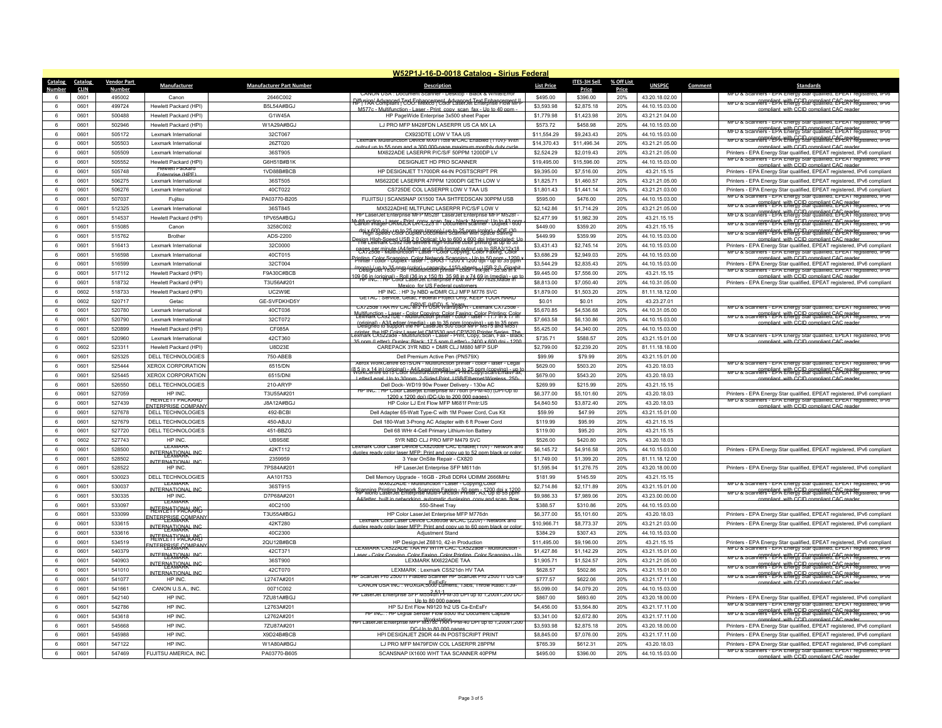|                 | W52P1J-16-D-0018 Catalog - Sirius Federal |                    |                                                     |                                 |                                                                                                                                                                                                                                     |                   |              |            |                |         |                                                                                                                                                                                      |
|-----------------|-------------------------------------------|--------------------|-----------------------------------------------------|---------------------------------|-------------------------------------------------------------------------------------------------------------------------------------------------------------------------------------------------------------------------------------|-------------------|--------------|------------|----------------|---------|--------------------------------------------------------------------------------------------------------------------------------------------------------------------------------------|
| Catalog         | Catalog                                   | <b>Vendor Part</b> | Manufacturer                                        | <b>Manufacturer Part Number</b> | <b>Description</b>                                                                                                                                                                                                                  | <b>List Price</b> | ITES-3H Sell | % Off List | <b>UNSPSC</b>  | Comment | <b>Standards</b>                                                                                                                                                                     |
|                 | <b>CLIN</b>                               | Numbe              |                                                     |                                 | <b>CANON USA: DOCUR</b>                                                                                                                                                                                                             |                   | Price        | Price      |                |         | 30. EPEAT reg                                                                                                                                                                        |
|                 | 0601                                      | 495002             | Canon                                               | 2646C002                        | <b>)i<sup>ff</sup>i'i'AA Compliant TCO 5 Mexico   Color LaserJet Enterprise Flow MFF</b><br>HTML AND MONDIAL TCO 5 Mexico   Color LaserJet Enterprise Flow MFF                                                                      | \$495.00          | \$396.00     | 20%        | 43.20.18.02.00 |         | MFD & Scanners - EPA Energy Star qualified, EPEAT registered, IPv6                                                                                                                   |
| 6               | 0601                                      | 499724             | Hewlett Packard (HPI)                               | B5L54A#BGJ                      | M577c - Multifunction - Laser - Print conv. scan fax - Lin to 40                                                                                                                                                                    | \$3,593.98        | \$2,875.18   | 20%        | 44.10.15.03.00 |         | with CCID compliant CAC re                                                                                                                                                           |
| 6               | 0601                                      | 500488             | Hewlett Packard (HPI)                               | G1W45A                          | HP PageWide Enterprise 3x500 sheet Paper                                                                                                                                                                                            | \$1,779.98        | \$1,423.98   | 20%        | 43.21.21.04.00 |         | MFD & Scanners - EPA Energy Star qualified, EPEA1 registered, IPV6                                                                                                                   |
| 6               | 0601                                      | 502946             | Hewlett Packard (HPI)                               | W1A29A#BGJ                      | LJ PRO MFP M428FDN LASERPR US CA MX LA                                                                                                                                                                                              | \$573.72          | \$458.98     | 20%        | 44.10.15.03.00 |         | compliant CCID compliant CAC read<br>MFD & Scanners - EPA Energy Star qualified, EPERT                                                                                               |
| 6               | 0601                                      | 505172             | Lexmark International                               | 32CT067                         | CX923DTF LOW V TAA US<br><b>Lexmark Multillungtion Device MX9110le W/CAC Enabled (110V)- Wilf</b>                                                                                                                                   | \$11,554.29       | \$9,243.43   | 20%        | 44.10.15.03.00 |         | MFD & Scanfers - eph With GCU Gompliant CAC ERAC                                                                                                                                     |
| 6               | 0601                                      | 505503             | Lexmark International                               | 26ZT020                         | output up to 55 ppm and a 300,000-page maximum monthly duty                                                                                                                                                                         | \$14,370.43       | \$11,496.34  | 20%        | 43.21.21.05.00 |         | compliant, with CCID compliant CAC reade                                                                                                                                             |
| 6               | 0601                                      | 505509             | Lexmark International                               | 36ST905                         | MX622ADE LASERPR P/C/S/F 50PPM 1200DP LV                                                                                                                                                                                            | \$2,524.29        | \$2,019.43   | 20%        | 43.21.21.05.00 |         | Printers - EPA Energy Star qualified, EPEAT registered, IPv6 compliant<br>MFD & Scanners - EPA Energy Star qualified, EPEAT registered, IPv6                                         |
| 6               | 0601                                      | 505552             | Hewlett Packard (HPI)<br><b>Hewlett Packard</b>     | G6H51B#B1K                      | DESIGNJET HD PRO SCANNER                                                                                                                                                                                                            | \$19,495.00       | \$15,596.00  | 20%        | 44.10.15.03.00 |         | compliant with CCID compliant CAC reade                                                                                                                                              |
| 6               | 0601                                      | 505748             | Fnternrise (HPF)                                    | 1VD88B#BCB                      | HP DESIGNJET T1700DR 44-IN POSTSCRIPT PR                                                                                                                                                                                            | \$9,395.00        | \$7,516.00   | 20%        | 43.21.15.15    |         | Printers - EPA Energy Star qualified, EPEAT registered, IPv6 compliant                                                                                                               |
| 6               | 0601                                      | 506275             | Lexmark International                               | 36ST505                         | MS622DE LASERPR 47PPM 1200DPI GETH LOW V                                                                                                                                                                                            | \$1,825.71        | \$1,460.57   | 20%        | 43.21.21.05.00 |         | Printers - EPA Energy Star qualified, EPEAT registered, IPv6 compliant                                                                                                               |
| 6               | 0601                                      | 506276             | Lexmark International                               | 40CT022                         | CS725DE COL LASERPR LOW V TAA US                                                                                                                                                                                                    | \$1,801.43        | \$1,441.14   | 20%        | 43.21.21.03.00 |         | Printers - EPA Energy Star qualified, EPEAT registered, IPv6 compliant<br>MFD & Scanners - EPA Energy Star qualified, EPEAT registered, IPv6                                         |
| 6               | 0601                                      | 507037             | Fujitsu                                             | PA03770-B205                    | FUJITSU   SCANSNAP IX1500 TAA SHTFEDSCAN 30PPM USB                                                                                                                                                                                  | \$595.00          | \$476.00     | 20%        | 44.10.15.03.00 |         | MFD & Scanners - EPA Linegy Star qualified, EPEAT registered, IPv6                                                                                                                   |
| 6               | 0601                                      | 512325             | Lexmark International                               | 36ST845                         | MX522ADHE MLTFUNC LASERPR P/C/S/F LOW V<br>HP LaserJet Enterprise MFP M5281 LaserJet Enterprise MFP M528f                                                                                                                           | \$2,142.86        | \$1,714.29   | 20%        | 43.21.21.05.00 |         | compliant with CCID compliant CAC reader<br>MFD & Scanners - EPA Energy Star qualified, EPEAT registered, IPv6                                                                       |
| 6               | 0601                                      | 514537             | Hewlett Packard (HPI)                               | 1PV65A#BGJ                      | Aultifunction = 88 First Print R-02 Scan fax - black: Normal: Up to 43 ppm                                                                                                                                                          | \$2,477.99        | \$1,982.39   | 20%        | 43.21.15.15    |         | compliant with CCID compliant CAC reader<br>MFD & Scanners - EPA Energy Star qualified, EPEAT registered,                                                                            |
| 6               | 0601                                      | 515085             | Canon                                               | 3258C002                        | dpi & AQD dei - U8 to 25 BBR U880AL H'S ta 25 PMH (selate - ADE (30                                                                                                                                                                 | \$449.00          | \$359.20     | 20%        | 43.21.15.15    |         | wrv & scanfers-leph lettergy Stargualingt CAS-ER?                                                                                                                                    |
| 6               | 0601                                      | 515762             | Brother                                             | ADS-2200                        | lesian Hlab-Speed USB 2.0 Ontical: Un to 600 x 600 dni Interpolated; I<br>The Lexmark CS921de delivers high-volume color printing at up to 35                                                                                       | \$449.99          | \$359.99     | 20%        | 44.10.15.03.00 |         | compliant with CCID compliant CAC read                                                                                                                                               |
| 6               | 0601                                      | 516413             | Lexmark International                               | 32C0000                         | nages per minute (A4/letter) and multi-format output up to SRA3/12x18<br>"CX725de - Multifunction - Laser - Color Copying, Color Faxing, Color                                                                                      | \$3,431.43        | \$2,745.14   | 20%        | 44.10.15.03.00 |         | Printers - EPA Energy Star qualified, EPEAT registered, IPv6 compliant<br>MFD & Scanners - EPA Energy Star qualified, EPEAT registered, IPv6                                         |
| 6               | 0601                                      | 516598             | I exmark International                              | 40CT015                         | Printing Color Scanning Color Network Scanning - Up to 50 ppm 3-1200                                                                                                                                                                | \$3,686.29        | \$2,949.03   | 20%        | 44.10.15.03.00 |         | compliant with CCID compliant CAC reade                                                                                                                                              |
| 6               | 0601                                      | 516599             | Lexmark Internationa                                | 32CT004                         | (mono) / up to 35 nom (color) - capacity: 1150 sheets - USB 2.0, Gigabit<br>Design Jet 1830 - 36 multifunction printer - color - ink-let - 35.98 in x                                                                               | \$3,544.29        | \$2,835.43   | 20%        | 44.10.15.03.00 |         | Printers - EPA Energy Star qualified, EPEAT registered, IPv6 compliant<br>MED & Scanners - FPA Fnergy Star qualified, FPFAT registered, IPV6                                         |
| 6               | 0601                                      | 517112             | Hewlett Packard (HPI)                               | F9A30C#BCE                      | <u>109 AB in Coriginal) a Bell (36 i a X 150 ft), 35 98 in X 74 69 in (media) - un t</u>                                                                                                                                            | \$9,445.00        | \$7,556.00   | 20%        | 43.21.15.15    |         | compliant, with CCID compliant CAC reade                                                                                                                                             |
| 6               | 0601                                      | 518732             | Hewlett Packard (HPI)                               | T3U56A#201                      | Mexico, for U.S. Federal customers                                                                                                                                                                                                  | \$8,813.00        | \$7,050.40   | 20%        | 44.10.31.05.00 |         | Printers - EPA Energy Star qualified, EPEAT registered, IPv6 compliant                                                                                                               |
| 6               | 0602                                      | 518733             | Hewlett Packard (HPI)                               | LIC2W9F                         | HP INC.: HP 3y NBD w/DMR CLJ MFP M776 SVC<br>GETAC : Service, Getac, Federal Proiect Only, KEEP YOUR HARD                                                                                                                           | \$1,879.00        | \$1,503.20   | 20%        | 81.11.18.12.00 |         |                                                                                                                                                                                      |
| 6               | 0602                                      | 520717             | Getac                                               | GE-SVFDKHD5Y                    | CX725de TAA HV CAC W/3 Yr USR Warray&Prt - Lexmark CX725de -                                                                                                                                                                        | \$0.01            | \$0.01       | 20%        | 43 23 27 01    |         |                                                                                                                                                                                      |
| 6               | 0601                                      | 520780             | Lexmark International                               | 40CT036                         | Multifunction + 2   100 Color Conving: Color Faxing: Color Printing: Color<br>Lexmark CX92   DE - Multifunction printer - color - laser - 11.7 in x 1.7                                                                             | \$5,670.85        | \$4,536.68   | 20%        | 44.10.31.05.00 |         | MFD & Scanners - EPA Energy Star qualified, EPEAT registered, IPV6<br>compliant with CCID compliant CAC reader<br>MFD & Scanners - EPA Energy Star qualified, EPEAT registered, IPV6 |
| $\epsilon$      | 0601                                      | 520790             | Lexmark International                               | 32CT072                         | (priginal) - A3/Ledger (media) - HP-18-35 ppm (conviga) - V5-18-35 ppm                                                                                                                                                              | \$7,663.58        | \$6,130.86   | 20%        | 44.10.15.03.00 |         | with CCID compliant CAC                                                                                                                                                              |
| 6               | 0601                                      | 520899             | Hewlett Packard (HPI)                               | CF085A                          | printer, the HP Color Laser let CM3530 and CP3520 Printer Series, The                                                                                                                                                               | \$5,425.00        | \$4,340.00   | 20%        | 44.10.15.03.00 |         |                                                                                                                                                                                      |
| 6               | 0601                                      | 520960             | Lexmark International                               | 42CT360                         | 35 npm (Letter); Duplex: Black: 17.5 spm (Letter) = 2400 x 600 dpi = 1200                                                                                                                                                           | \$735.71          | \$588.57     | 20%        | 43.21.15.01.00 |         | MFD & Scanners - EPA Energy Star qualified, EPEAT registered, IPV6<br>compliant with CCID compliant CAC reade                                                                        |
| $\epsilon$      | 0602                                      | 523311             | Hewlett Packard (HPI)                               | <b>U8D23F</b>                   | CAREPACK 3YR NBD + DMR CLJ M880 MFP SUP                                                                                                                                                                                             | \$2,799.00        | \$2,239.20   | 20%        | 81.11.18.18.00 |         |                                                                                                                                                                                      |
| -6              | 0601                                      | 525325             | DELL TECHNOLOGIES                                   | 750-ABEB                        | Dell Premium Active Pen (PN579X)                                                                                                                                                                                                    | \$99.99           | \$79.99      | 20%        | 43 21 15 01 00 |         |                                                                                                                                                                                      |
| $6\overline{6}$ | 0601                                      | 525444             | <b>XEROX CORPORATION</b>                            | 6515/DN                         | Xerox WorkCentre 6515/DN - Multifunction printer - color - laser - Lega<br>8 5 in x 14 in) (original) - A4/Legal (media) - up to 25 ppm (conving) - up t<br>Work Centre 6515 Color Multifunction Printer, Print/Copy/Scan/Email/Pax | \$629.00          | \$503.20     | 20%        | 43.20.18.03    |         | MFD & Scanners - EPA Energy Star qualified, EPEA1 registered, IPv6<br>MFD & Scanners - EPA Energy Star qualified, EPEAT registered, IPv6                                             |
|                 | 0601                                      | 525445             | <b>XEROX CORPORATION</b>                            | 6515/DNI                        | nal Lin to 30nnm 2-Sided Print LISB/Ethernet/Wireless                                                                                                                                                                               | \$679.00          | \$543.20     | 20%        | 43.20.18.03    |         |                                                                                                                                                                                      |
| 6               | 0601                                      | 526550             | <b>DELL TECHNOLOGIES</b>                            | 210-ARYP                        | Dell Dock-WD19 90w Power Delivery - 130w AC                                                                                                                                                                                         | \$269.99          | \$215.99     | 20%        | 43.21.15.15    |         |                                                                                                                                                                                      |
| $6\overline{6}$ | 0601                                      | 527059             | HP INC                                              | T3U55A#201                      | : HP Color Laserjet Enterprise M/76dn (PPM-45) (DPI-Up to<br>1200 x 1200 dpi) (DC-Up to 200 000 pages                                                                                                                               | \$6,377.00        | \$5,101.60   | 20%        | 43.20.18.03    |         | Printers - EPA Energy Star qualified, EPEAT registered, IPv6 compliant                                                                                                               |
| 6               | 0601                                      | 527439             | <b>HEWLETT PACKARD</b><br><b>ENTERPRISE COMPANY</b> | J8A12A#BGJ                      | HP Color LJ Ent Flow MFP M681f Prntr:US                                                                                                                                                                                             | \$4,840.50        | \$3,872.40   | 20%        | 43.20.18.03    |         | MFD & Scanners - EPA Energy Star qualified, EPEAT registered, IPv6<br>compliant, with CCID compliant CAC reade                                                                       |
| 6               | 0601                                      | 527678             | <b>DELL TECHNOLOGIES</b>                            | 492-BCBI                        | Dell Adapter 65-Watt Type-C with 1M Power Cord, Cus Kit                                                                                                                                                                             | \$59.99           | \$47.99      | 20%        | 43.21.15.01.00 |         |                                                                                                                                                                                      |
| $6\overline{6}$ | 0601                                      | 527679             | <b>DELL TECHNOLOGIES</b>                            | 450-AB.IU                       | Dell 180-Watt 3-Prong AC Adapter with 6 ft Power Cord                                                                                                                                                                               | \$119.99          | \$95.99      | 20%        | 43.21.15.15    |         |                                                                                                                                                                                      |
| 6               | 0601                                      | 527720             | DELL TECHNOLOGIES                                   | 451-BBZG                        | Dell 68 WHr 4-Cell Primary Lithium-Ion Battery                                                                                                                                                                                      | \$119.00          | \$95.20      | 20%        | 43.21.15.15    |         |                                                                                                                                                                                      |
| 6               | 0602                                      | 527743             | HP INC                                              | UB9S8E                          | 5YR NBD CLJ PRO MFP M479 SVC                                                                                                                                                                                                        | \$526.00          | \$420.80     | 20%        | 43.20.18.03    |         |                                                                                                                                                                                      |
| $6\overline{6}$ | 0601                                      | 528500             | <b>LEXMARI</b><br>INTERNATIONAL INC                 | 42KT112                         | aser Device CX820dtle CAC Enable(110v)<br>duplex ready color laser MFP: Print and copy up to 52 ppm black or colo                                                                                                                   | \$6,145.72        | \$4,916.58   | 20%        | 44.10.15.03.00 |         | Printers - EPA Energy Star qualified, EPEAT registered, IPv6 compliant                                                                                                               |
| 6               | 0601                                      | 528502             | INTERNATIONAL INC                                   | 2359959                         | 3 Year OnSite Repair - CX820                                                                                                                                                                                                        | \$1,749.00        | \$1,399.20   | 20%        | 81.11.18.12.00 |         |                                                                                                                                                                                      |
| 6               | 0601                                      | 528522             | HP INC                                              | 7PS84A#201                      | HP LaserJet Enterprise SFP M611dn                                                                                                                                                                                                   | \$1,595.94        | \$1,276.75   | 20%        | 43.20.18.00.00 |         | Printers - EPA Energy Star qualified, EPEAT registered, IPv6 compliant                                                                                                               |
| 6               | 0601                                      | 530023             | DELL TECHNOLOGIES                                   | AA101753                        | Dell Memory Upgrade - 16GB - 2Rx8 DDR4 UDIMM 2666MHz                                                                                                                                                                                | \$181.99          | \$145.59     | 20%        | 43.21.15.15    |         |                                                                                                                                                                                      |
| 6               | 0601                                      | 530037             | <b>TEXMARK</b><br>INTERNATIONAL INC                 | 36ST915                         | MX622ADE - Multifunction - Laser - Copying.Colo                                                                                                                                                                                     | \$2,714.86        | \$2,171.89   | 20%        | 43.21.15.01.00 |         | MFD & Scanners - EPA Energy Star qualified, EPEAT registered, IPV6                                                                                                                   |
| 6               | 0601                                      | 530335             | HP INC                                              | D7P68A#201                      | Scapping Printing Network Scapping Eaxing - 50 ppm - 1200 dpj x 121<br>Step Mono Laser let Enterprise Multi-Function Printer A3 (16.65.5.00)<br>A4/letter built in networking automatic duplexing copy and scan flow                | \$9,986.33        | \$7,989.06   | 20%        | 43.23.00.00.00 |         | compliant with CCID compliant CAC reader<br>MFD & Scanners - EPA Energy Star qualified, EPEAT registered,<br>compliant, with CCID compliant CAC reade                                |
| 6               | 0601                                      | 533097             | <b>TEXMARK</b>                                      | 40C2100                         | 550-Sheet Tray                                                                                                                                                                                                                      | \$388.57          | \$310.86     | 20%        | 44.10.15.03.00 |         |                                                                                                                                                                                      |
| 6               | 0601                                      | 533099             | <b>AFFRANTIONALING</b><br>ENTERPEISE COMPANY        | T3U55A#BGJ                      | HP Color LaserJet Enterprise MFP M776dn                                                                                                                                                                                             | \$6,377.00        | \$5,101.60   | 20%        | 43.20.18.03    |         | Printers - EPA Energy Star qualified, EPEAT registered, IPv6 compliant                                                                                                               |
| 6               | 0601                                      | 533615             |                                                     | 42KT280                         | Lexmark Color Laser Device CX860de w/CAC (220y) - Network and<br>tuplex ready color laser MEP: Print and copy up to 60 ppm black or colo                                                                                            | \$10,966.71       | \$8,773.37   | 20%        | 43.21.21.03.00 |         | Printers - EPA Energy Star qualified, EPEAT registered, IPv6 compliant                                                                                                               |
| 6               | 0601                                      | 533616             | INTERNATIONAL INC.<br><b>INEGREATIONALING</b>       | 40C2300                         | Adiustment Stand                                                                                                                                                                                                                    | \$384.29          | \$307.43     | 20%        | 44.10.15.03.00 |         |                                                                                                                                                                                      |
| 6               | 0601                                      | 534519             |                                                     | 2QU12B#BCB                      | HP Design.let 76810, 42-in Production                                                                                                                                                                                               | \$11,495.00       | \$9,196.00   | 20%        | 43 21 15 15    |         | Printers - EPA Energy Star qualified, EPEAT registered, IPv6 compliant                                                                                                               |
| 6               | 0601                                      | 540379             | ENTERPRISE COMPANY                                  | 42CT371                         | LEXMARK CX522ADE TAA HV WITH CAC. CX522ade - Multifunction<br>Laser - Color Conving, Color Faxing, Color Printing, Color Scanning - U                                                                                               | \$1,427.86        | \$1,142.29   | 20%        | 43.21.15.01.00 |         | MFD & Scanners - EPA Energy Star qualified, EPEAT registered, IPV6                                                                                                                   |
| 6               | 0601                                      | 540903             | INTERNATIONAL INC.                                  | 36ST900                         | LEXMARK MX622ADE TAA                                                                                                                                                                                                                | \$1,905.71        | \$1,524.57   | 20%        | 43.21.21.05.00 |         | complient with CCID complient CAC reader<br>MFD & Scanners - EPA Energy Star qualified, EPEAT registered, IPv6                                                                       |
| 6               | 0601                                      | 541010             | INTERNATIONAL INC.<br>INTERNATIONAL INC             | 42CT070                         | LEXMARK: Lexmark CS521dn HV TAA                                                                                                                                                                                                     | \$628.57          | \$502.86     | 20%        | 43.21.15.01.00 |         | MFD & Scanners - EPA Linergy Star qualitied, EPER Treg                                                                                                                               |
| 6               | 0601                                      | 541077             | HP INC.                                             | L2747A#201                      | P ScanJet Pro 2500 f1 Flatbed Scanner HP ScanJet Pro 2500 f1 US Ca                                                                                                                                                                  | \$777.57          | \$622.06     | 20%        | 43.21.17.11.00 |         | MFD & Scanners - EPA Energy Star qualitied, EPEAT registered, IPv6<br>compliant with CCID compliant CAC reade                                                                        |
| 6               | 0601                                      | 541661             | CANON U.S.A., INC.                                  | 0071C002                        | CANON USA INC: WUXGA.5000 Eumens, 13lbs, Throw Ratio:1.39-                                                                                                                                                                          | \$5,099.00        | \$4,079.20   | 20%        | 44.10.15.03.00 |         |                                                                                                                                                                                      |
| 6               | 0601                                      | 542140             | HP INC                                              | 7ZU81A#BG,                      | th LaserJet Enterprise SFP M554dn PPM-35 DPI up to 1,200x1,200 DC.<br>HP LaserJet Enterprise SFP M554dn PPM-35 DPI up to 1,200x1,200 DC<br>Un to 80,000 pages                                                                       | \$867.00          | \$693.60     | 20%        | 43.20.18.00.00 |         | Printers - EPA Energy Star qualified, EPEAT registered, IPv6 compliant                                                                                                               |
| 6               | 0601                                      | 542786             | HP INC                                              | L2763A#201                      | HP SJ Ent Flow N9120 fn2 US Ca-EnEsFr                                                                                                                                                                                               | \$4,456.00        | \$3,564.80   | 20%        | 43.21.17.11.00 |         | MFD & Scanners - EPA Energy Star qualified, EPEA1 registered, IPv6                                                                                                                   |
| 6               | 0601                                      | 543618             | HP INC                                              | L2762A#201                      | HP INC. : HP Digital Sender Flow 8500 fn2 Document Capture                                                                                                                                                                          | \$3,341.00        | \$2,672.80   | 20%        | 43.21.17.11.00 |         | MFD & Scanners - EPA Energy Star qualified. EPEAT registered. IPv6<br>ompliant, with CCID compliant CAC re-                                                                          |
| 6               | 0601                                      | 545668             | HP INC                                              | 7ZU87A#201                      | er LaserJet Enterprise MFP M578c*fAA"PPM-40 DPI up to 1,200x1,200<br>DC-Up to 80,000 pages                                                                                                                                          | \$3,593.98        | \$2,875.18   | 20%        | 43.20.18.00.00 |         | Printers - EPA Energy Star qualified, EPEAT registered, IPv6 compliant                                                                                                               |
| 6               | 0601                                      | 545988             | HP INC                                              | X9D24B#BCF                      | HPI DESIGNJET Z9DR 44-IN POSTSCRIPT PRINT                                                                                                                                                                                           | \$8,845.00        | \$7,076.00   | 20%        | 43.21.17.11.00 |         | Printers - EPA Energy Star qualified, EPEAT registered, IPv6 compliant                                                                                                               |
|                 | 0601                                      | 547122             | HP INC.                                             | W1A80A#BGJ                      | LJ PRO MFP M479FDW COL LASERPR 28PPM                                                                                                                                                                                                | \$765.39          | \$612.31     | 20%        | 43.20.18.03    |         | Printers - EPA Energy Star qualified, EPEAT registered, IPv6 compliant                                                                                                               |
|                 | 0601                                      | 547469             | FUJITSU AMERICA, INC.                               | PA03770-B605                    | SCANSNAP IX1600 WHT TAA SCANNER 40PPM                                                                                                                                                                                               | \$495.00          | \$396.00     | 20%        | 44.10.15.03.00 |         | MFD & Scanners - EPA Energy Star qualified, EPEAT registered, IPV6<br>compliant with CCID compliant CAC reade                                                                        |
|                 |                                           |                    |                                                     |                                 |                                                                                                                                                                                                                                     |                   |              |            |                |         |                                                                                                                                                                                      |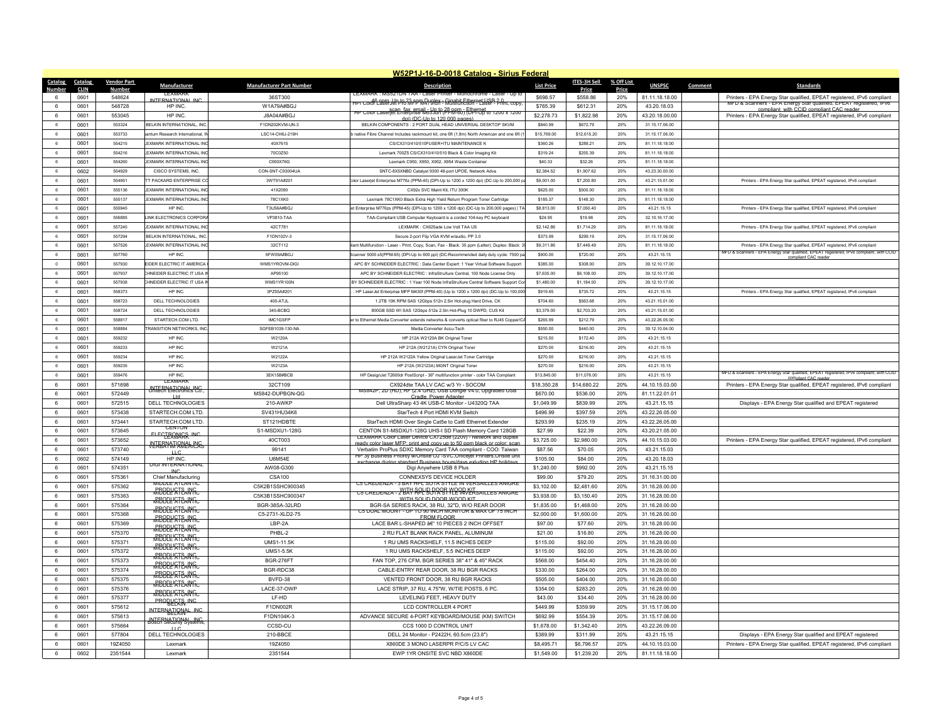| W52P1J-16-D-0018 Catalog - Sirius Federal |                    |                                              |                                 |                                                                                                                                          |                   |              |            |                |         |                                                                                                                                              |
|-------------------------------------------|--------------------|----------------------------------------------|---------------------------------|------------------------------------------------------------------------------------------------------------------------------------------|-------------------|--------------|------------|----------------|---------|----------------------------------------------------------------------------------------------------------------------------------------------|
| Catalog<br>Catalog                        | <b>Vendor Part</b> | Manufacturer                                 | <b>Manufacturer Part Number</b> | <b>Description</b>                                                                                                                       | <b>List Price</b> | ITES-3H Sell | % Off List | <b>UNSPSC</b>  | Comment | <b>Standards</b>                                                                                                                             |
| <b>Number</b><br><b>CLIN</b>              | <b>Number</b>      | LEAMAR                                       |                                 | -EXMARK : MS5ZTDN TAA - Lase                                                                                                             |                   | Price        | Price      |                |         |                                                                                                                                              |
| 0601                                      | 548624             | NTERNATIONAL INC                             | 36ST300                         | HPTColor LaserJet Pro MFP M4/9fdn - Gigabit Ethernet: USB 2.0<br>HPTColor LaserJet Pro MFP M4/9fdn - Multifunction - Laser - Print, copy | \$698.57          | \$558.86     | 20%        | 81.11.18.18.00 |         | Printers - EPA Energy Star qualified, EPEAT registered, IPv6 compliant<br>MFD & Scanners - EPA Energy Star qualified, EPEAT registered, IPV6 |
| 0601<br>$6^{\circ}$                       | 548728             | HP INC                                       | W1A79A#BGJ                      | нь Color Laserူet Enterprise M653ah (АРМ-80) FUPFOP to 1200 x 1200                                                                       | \$765.39          | \$612.31     | 20%        | 43 20 18 03    |         | compliant with CCID compliant CAC reader                                                                                                     |
| 6<br>0601                                 | 553045             | HP INC                                       | J8A04A#BGJ                      | doi) (DC-Up to 120,000 pages).                                                                                                           | \$2,278.73        | \$1,822.98   | 20%        | 43.20.18.00.00 |         | Printers - EPA Energy Star qualified, EPEAT registered, IPv6 compliant                                                                       |
| 0601<br>6                                 | 553324             | BELKIN INTERNATIONAL. INC                    | F1DN202KVM-UN-3                 | BELKIN COMPONENTS : 2 PORT DUAL HEAD UNIVERSAL DESKTOP SKVM                                                                              | S840.99           | \$672.79     | 20%        | 31.15.17.06.00 |         |                                                                                                                                              |
| 6<br>0601                                 | 553733             | antum Research International I               | ISC14-CH6J-219H                 | native Fibre Channel Includes rackmount kit, one 6ft (1.8m) North American and one 6ft (                                                 | \$15,769.00       | \$12,615.20  | 20%        | 31 15 17 06 00 |         |                                                                                                                                              |
| 0601<br>6                                 | 554215             | EXMARK INTERNATIONAL INC                     | 40X7615                         | CS/CX310/410/510FUSER+ITU MAINTENANCE K                                                                                                  | \$360.26          | \$288.21     | 20%        | 81.11.18.18.00 |         |                                                                                                                                              |
| 0601<br>6                                 | 554216             | EXMARK INTERNATIONAL IN                      | 70C0Z50                         | Lexmark 700Z5 CS/CX310/410/510 Black & Color Imaging Kit                                                                                 | \$319.24          | \$255.39     | 20%        | 81.11.18.18.00 |         |                                                                                                                                              |
| 0601<br>6                                 | 554260             | <b>FXMARK INTERNATIONAL INC</b>              | C950X76G                        | Lexmark C950 X950 X952 X954 Waste Containe                                                                                               | \$40.33           | \$32.26      | 20%        | 81 11 18 18 00 |         |                                                                                                                                              |
| 0602<br>6                                 | 554929             | CISCO SYSTEMS, INC.                          | CON-SNT-C93004UA                | SNTC-8X5XNBD Catalyst 9300 48-port UPOE, Network Adva                                                                                    | \$2,384.52        | \$1,907.62   | 20%        | 43.23.30.00.00 |         |                                                                                                                                              |
| 6<br>0601                                 | 554951             | TT PACKARD ENTERPRISE CO                     | 3WT91A#201                      | olor Laserjet Enterprise M776z (PPM-45) (DPI-Up to 1200 x 1200 dpi) (DC-Up to 200,000 p                                                  | \$9,001.00        | \$7,200.80   | 20%        | 43.21.15.01.00 |         | Printers - EPA Energy Star qualified, EPEAT registered, IPv6 compliant                                                                       |
| 6<br>0601                                 | 555136             | EXMARK INTERNATIONAL INC                     | 41X2090                         | CX92x SVC Maint Kit. ITU 300K                                                                                                            | \$625.00          | \$500.00     | 20%        | 81.11.18.18.00 |         |                                                                                                                                              |
| 0601<br>6                                 | 555137             | <b>FXMARK INTERNATIONAL INC.</b>             | <b>78C1XK0</b>                  |                                                                                                                                          | \$185.37          | \$148.30     | 20%        | 81 11 18 18 00 |         |                                                                                                                                              |
| 6<br>0601                                 | 555945             | HP INC                                       | T3U56A#BGJ                      | Lexmark 78C1XK0 Black Extra High Yield Return Program Toner Cartridge                                                                    | \$8,813.00        | \$7,050.40   | 20%        | 43.21.15.15    |         |                                                                                                                                              |
|                                           |                    |                                              |                                 | et Enterprise M776zs (PPM-45) (DPI-Up to 1200 x 1200 dpi) (DC-Up to 200,000 pages)   TA                                                  |                   |              |            |                |         | Printers - EPA Energy Star qualified, EPEAT registered, IPv6 compliant                                                                       |
| 6<br>0601                                 | 556885             | LINK ELECTRONICS CORPOR                      | VP3810-TAA                      | TAA-Compliant USB Computer Keyboard is a corded 104-key PC keyboard                                                                      | \$24.95           | \$19.96      | 20%        | 32.10.16.17.00 |         |                                                                                                                                              |
| 0601<br>-6                                | 557245             | <b>FXMARK INTERNATIONAL INC.</b>             | 42CT781                         | I FXMARK : CX625ade Low Volt TAA US                                                                                                      | \$2 142 86        | \$1 714 29   | 20%        | 81 11 18 18 00 |         | Printers - EPA Energy Star qualified, EPEAT registered, IPv6 compliant                                                                       |
| $_{\rm 6}$<br>0601                        | 557294             | BELKIN INTERNATIONAL, INC                    | F1DN102V-3                      | Secure 2-port Flip VGA KVM w/audio, PP 3.0                                                                                               | \$373.99          | \$299.19     | 20%        | 31.15.17.06.00 |         |                                                                                                                                              |
| 0601<br>6                                 | 557526             | EXMARK INTERNATIONAL INC                     | 32CT112                         | ant Multifunction - Laser - Print, Copy, Scan, Fax - Black: 35 ppm (Letter); Duplex: Black:                                              | \$9,311.86        | \$7,449.49   | 20%        | 81.11.18.18.00 |         | Printers - EPA Energy Star qualified, EPEAT registered, IPv6 complian                                                                        |
| 0601<br>6                                 | 557760             | HP INC                                       | 6FW09A#BGJ                      | Scanner 5000 s5(PPM-65) (DPI-Up to 600 ppi) (DC-Recommended daily duty cycle: 7500 p                                                     | \$900.00          | \$720.00     | 20%        | 43 21 15 15    |         | MFD & Scanners - EPA Energy Star qualified, EPEAT registered, IPv6 compliant, with CCID<br>compliant CAC reade                               |
| $\circ$<br>0601                           | 557930             | EIDER ELECTRIC IT AMERICA                    | WMS1YROVM-DIG                   | APC BY SCHNEIDER ELECTRIC : Data Center Expert: 1 Year Virtual Software Support                                                          | \$385.00          | \$308.00     | 20%        | 39.12.10.17.00 |         |                                                                                                                                              |
| 6<br>0601                                 | 557937             | CHNEIDER ELECTRIC IT USA II                  | AP95100                         | APC BY SCHNEIDER ELECTRIC : InfraStruXure Central, 100 Node License Only                                                                 | \$7,635.00        | \$6,108.00   | 20%        | 39.12.10.17.00 |         |                                                                                                                                              |
| 6<br>0601                                 | 557938             | CHNEIDER ELECTRIC IT USA IN                  | WMS1YR100N                      | BY SCHNEIDER ELECTRIC : 1 Year 100 Node InfraStruXure Central Software Support Co                                                        | \$1,480.00        | \$1,184.00   | 20%        | 39.12.10.17.00 |         |                                                                                                                                              |
| 0601<br>6                                 | 558373             | HP INC                                       | 3PZ55A#201                      | HP LaserJet Enterprise MFP M430f (PPM-40) (Up to 1200 x 1200 dpi) (DC-Up to 100,00                                                       | \$919.65          | \$735.72     | 20%        | 43.21.15.15    |         | Printers - EPA Energy Star qualified, EPEAT registered, IPv6 compliant                                                                       |
| 6<br>0601                                 | 558723             | DELL TECHNOLOGIES                            | 400-ATJL                        | 1.2TB 10K RPM SAS 12Gbps 512n 2.5in Hot-plug Hard Drive, CK                                                                              | \$704.60          | \$563.68     | 20%        | 43.21.15.01.00 |         |                                                                                                                                              |
| 6<br>0601                                 | 558724             | DELL TECHNOLOGIES                            | 345-BCRC                        | 800GB SSD WI SAS 12Gbps 512e 2.5in Hot-Plug 10 DWPD, CUS Kit                                                                             | \$3,379.00        | \$2,703.20   | 20%        | 43.21.15.01.00 |         |                                                                                                                                              |
| 0601<br>6                                 | 558817             | STARTECH.COM LTD                             | IMC1GSFF                        | er to Ethernet Media Converter extends networks & converts optical fiber to RJ45 Copper/C/                                               | \$265.99          | \$212.79     | 20%        | 43.22.26.05.00 |         |                                                                                                                                              |
| 6<br>0601                                 | 558884             | <b>TRANSITION NETWORKS. INC</b>              | SGFEB1039-130-NA                | Media Converter Accu-Tech                                                                                                                | \$550.00          | \$440.00     | 20%        | 39.12.10.04.00 |         |                                                                                                                                              |
|                                           |                    |                                              |                                 |                                                                                                                                          |                   |              |            |                |         |                                                                                                                                              |
| 0601<br>6                                 | 559232             | HP INC                                       | W2120A                          | HP 212A W2120A BK Original Tone                                                                                                          | \$215.50          | \$172.40     | 20%        | 43.21.15.15    |         |                                                                                                                                              |
| 6<br>0601                                 | 559233             | HP INC                                       | W2121A                          | HP 212A (W2121A) CYN Original Toner                                                                                                      | \$270.00          | \$216.00     | 20%        | 43.21.15.15    |         |                                                                                                                                              |
| 0601<br>6                                 | 559234             | HP INC                                       | W2122A                          | HP 212A W2122A Yellow Original LaserJet Toner Cartridge                                                                                  | \$270.00          | \$216.00     | 20%        | 43.21.15.15    |         |                                                                                                                                              |
| 6<br>0601                                 | 559235             | HP INC                                       | W2123A                          | HP 212A (W2123A) MGNT Original Tone                                                                                                      | \$270.00          | \$216.00     | 20%        | 43.21.15.15    |         | MFD & Scanners - EPA Energy Star qualified, EPEAT registered, IPv6 compliant, with CCID                                                      |
| 6<br>0601                                 | 559476             | HP INC<br><b>TEXMARE</b>                     | 3FK15B#BCB                      | HP DesignJet T2600dr PostScript - 36" multifunction printer - color TAA Compliant                                                        | \$13,845.00       | \$11.076.00  | 20%        | 43.21.15.15    |         | compliant CAC read                                                                                                                           |
| 6<br>0601                                 | 571698             | INTERNATIONAL INC.                           | 32CT109                         | CX924dte TAA LV CAC w/3 Yr - SOCOM                                                                                                       | \$18,350.28       | \$14,680.22  | 20%        | 44.10.15.03.00 |         | Printers - EPA Energy Star qualified, EPEAT registered, IPv6 compliant                                                                       |
| 0601<br>6                                 | 572449             | Int                                          | MS842-DUPBGN-QG                 | , 2D (HD), RF (2.4 GHz), USB Dongle V4.0, Upgraded USB<br>MS842P<br>Cradle Power Adapte                                                  | \$670.00          | \$536.00     | 20%        | 81.11.22.01.01 |         |                                                                                                                                              |
| 6<br>0601                                 | 572515             | DELL TECHNOLOGIES                            | 210-AWKF                        | Dell UltraSharp 43 4K USB-C Monitor - U4320Q TAA                                                                                         | \$1,049.99        | \$839.99     | 20%        | 43.21.15.15    |         | Displays - EPA Energy Star qualified and EPEAT registered                                                                                    |
| 0601<br>6                                 | 573438             | STARTECH COM LTD.                            | SV431HU34K6                     | StarTech 4 Port HDMI KVM Switch                                                                                                          | \$496.99          | \$397.59     | 20%        | 43.22.26.05.00 |         |                                                                                                                                              |
| 6<br>0601                                 | 573441             | STARTECH.COM LTD.                            | ST121HDBTE                      | StarTech HDMI Over Single Cat5e to Cat6 Ethernet Extender                                                                                | \$293.99          | \$235.19     | 20%        | 43.22.26.05.00 |         |                                                                                                                                              |
| 6<br>0601                                 | 573645             | CENTON                                       | S1-MSDXU1-128G                  | CENTON S1-MSDXU1-128G UHS-I SD Flash Memory Card 128GB                                                                                   | \$27.99           | \$22.39      | 20%        | 43.20.21.05.00 |         |                                                                                                                                              |
| 0601<br>6                                 | 573652             | ELECTROMICS INC                              | 40CT003                         | LEXMARK Color Laser Device CX/25de (220v) - Network and duple:                                                                           | \$3,725.00        | \$2,980.00   | 20%        | 44.10.15.03.00 |         | Printers - EPA Energy Star qualified, EPEAT registered, IPv6 compliant                                                                       |
| $\,6\,$<br>0601                           | 573740             | <b>VETERNATIONALING</b> S<br>$\overline{11}$ | 99141                           | ready color laser MFP: print and copy up to 50 nom black or color: scan<br>Verbatim ProPlus SDXC Memory Card TAA compliant - COO: Taiwan | \$87.56           | \$70.05      | 20%        | 43.21.15.03    |         |                                                                                                                                              |
| 6<br>0602                                 | 574149             | HP INC                                       | <b>U6M54E</b>                   | HP 3y Business Priority w/Onsite OJ -SVC Officeref Printers Onsite unit                                                                  | \$105.00          | \$84.00      | 20%        | 43.20.18.03    |         |                                                                                                                                              |
| 6<br>0601                                 | 574351             | <b>DIGITNTERNATIONA</b>                      | AW08-G300                       | exchange during standard Business hours/days exluding HP holida-<br>Digi Anywhere USB 8 Plus                                             | \$1,240.00        | \$992.00     | 20%        | 43.21.15.15    |         |                                                                                                                                              |
| 6<br>0601                                 | 575361             | INC<br>Chief Manufacturing                   | <b>CSA100</b>                   | CONNEXSYS DEVICE HOLDER                                                                                                                  | \$99.00           | \$79.20      | 20%        | 31.16.31.00.00 |         |                                                                                                                                              |
| 6<br>0601                                 | 575362             | MIDDLE ATLANTIC                              | C5K2B1SSHC900345                | C5 CREDENZA - 3 BAY HPL SOTA STYLE IN VERSAILLES ANIGRE                                                                                  | \$3,102.00        | \$2,481.60   | 20%        | 31.16.28.00.00 |         |                                                                                                                                              |
|                                           |                    | <b><i>RBOPLE STEAN Fre</i></b>               | C5K3B1SSHC900347                | C5 CREDENZA - YUAY APL BORRS WORKET SAILLES ANIGRE                                                                                       |                   |              |            |                |         |                                                                                                                                              |
| 0601<br>6                                 | 575363             | <b>RBODY STEANTC</b>                         |                                 | WITH SOLID DOOR WOOD KIT.                                                                                                                | \$3,938.00        | \$3,150.40   | 20%        | 31.16.28.00.00 |         |                                                                                                                                              |
| 6<br>0601                                 | 575364             | <b><i>MBODL'STEANTC</i></b>                  | BGR-38SA-32LRD                  | BGR-SA SERIES RACK 38 RU 32"D. W/O REAR DOOR<br>C5 DUAL MOUNT - UP TO 90 INCH MONITOR & MAX OF 75 INCE                                   | \$1,835.00        | \$1,468.00   | 20%        | 31.16.28.00.00 |         |                                                                                                                                              |
| $6\overline{6}$<br>0601                   | 575368             | <b><i>MBODL'STEANTC</i></b>                  | C5-2731-XLD2-75                 | <b>EROM ELOOR</b>                                                                                                                        | \$2,000.00        | \$1,600.00   | 20%        | 31.16.28.00.00 |         |                                                                                                                                              |
| 6<br>0601                                 | 575369             | <b><i>MBODL'STEANTC</i></b>                  | LBP-2A                          | LACE BAR L-SHAPED â€" 10 PIECES 2 INCH OFFSET                                                                                            | \$97.00           | \$77.60      | 20%        | 31.16.28.00.00 |         |                                                                                                                                              |
| $6\overline{6}$<br>0601                   | 575370             | <b>RBOPLETSANG</b>                           | PHBI-2                          | 2 RU FLAT BLANK RACK PANEL. ALUMINUM                                                                                                     | \$21.00           | \$16.80      | 20%        | 31.16.28.00.00 |         |                                                                                                                                              |
| 6<br>0601                                 | 575371             | <b>RBOPLE STEANTC</b>                        | <b>UMS1-11.5K</b>               | 1 RU UMS RACKSHELF, 11.5 INCHES DEEP                                                                                                     | \$115.00          | \$92.00      | 20%        | 31.16.28.00.00 |         |                                                                                                                                              |
| $\,6\,$<br>0601                           | 575372             | <del>MBODL'ATEAN fra</del>                   | <b>UMS1-5.5K</b>                | 1 RU UMS RACKSHELF, 5.5 INCHES DEEP                                                                                                      | \$115.00          | \$92.00      | 20%        | 31.16.28.00.00 |         |                                                                                                                                              |
| 6<br>0601                                 | 575373             |                                              | <b>BGR-276FT</b>                | FAN TOP, 276 CFM, BGR SERIES 38" 41" & 45" RACK                                                                                          | \$568.00          | \$454.40     | 20%        | 31.16.28.00.00 |         |                                                                                                                                              |
| $6\overline{6}$<br>0601                   | 575374             | <b>MBODL'ATEANTC</b>                         | BGR-RDC38                       | CABLE-ENTRY REAR DOOR, 38 RU BGR RACKS                                                                                                   | \$330.00          | \$264.00     | 20%        | 31.16.28.00.00 |         |                                                                                                                                              |
| 0601<br>6                                 | 575375             | <b><i>RBODL'STEANTC</i></b>                  | BVFD-38                         | VENTED FRONT DOOR, 38 RU BGR RACKS                                                                                                       | \$505.00          | \$404.00     | 20%        | 31.16.28.00.00 |         |                                                                                                                                              |
| $6\overline{6}$<br>0601                   | 575376             | <b><i>RBOPLERTEANTC</i></b>                  | LACE-37-OWP                     | LACE STRIP, 37 RU, 4.75"W, W/TIE POSTS, 6 PC.                                                                                            | \$354.00          | \$283.20     | 20%        | 31.16.28.00.00 |         |                                                                                                                                              |
| 0601<br>6                                 | 575377             | <b>RBODL'ATE NYTE</b>                        | I F-HD                          | LEVELING FEET, HEAVY DUTY                                                                                                                | \$43.00           | \$34.40      | 20%        | 31.16.28.00.00 |         |                                                                                                                                              |
| 6<br>0601                                 | 575612             | <b>PROBLETS INC.</b>                         | F1DN002R                        | LCD CONTROLLER 4 PORT                                                                                                                    | \$449.99          | \$359.99     | 20%        | 31.15.17.06.00 |         |                                                                                                                                              |
| $6\overline{6}$<br>0601                   | 575613             | INTERNATIONAL INC.                           | F1DN104K-3                      | ADVANCE SECURE 4-PORT KEYBOARD/MOUSE (KM) SWITCH                                                                                         | \$692.99          | \$554.39     | 20%        | 31.15.17.06.00 |         |                                                                                                                                              |
| 0601<br>6                                 | 575664             | INTERNATIONAL INC.<br>Bosch Security Systems | CCSD-CU                         | CCS 1000 D CONTROL UNIT                                                                                                                  | \$1,678.00        | \$1,342.40   | 20%        | 43.22.26.09.00 |         |                                                                                                                                              |
|                                           |                    | $\sqcup$ C                                   |                                 |                                                                                                                                          |                   |              |            |                |         |                                                                                                                                              |
| $6\overline{6}$<br>0601                   | 577804             | DELL TECHNOLOGIES                            | 210-BBCE                        | DELL 24 Monitor - P2422H, 60.5cm (23.8")                                                                                                 | \$389.99          | \$311.99     | 20%        | 43.21.15.15    |         | Displays - EPA Energy Star qualified and EPEAT registered                                                                                    |
| 0601<br>6                                 | 19Z4050            | Lexmark                                      | 19Z4050                         | X860DE 3 MONO LASERPR P/C/S LV CAC                                                                                                       | \$8,495.71        | \$6,796.57   | 20%        | 44.10.15.03.00 |         | Printers - EPA Energy Star qualified, EPEAT registered, IPv6 compliant                                                                       |
| 0602<br>$\epsilon$                        | 2351544            | I exmark                                     | 2351544                         | EWP 1YR ONSITE SVC NBD X860DE                                                                                                            | \$1,549.00        | \$1,239.20   | 20%        | 81.11.18.18.00 |         |                                                                                                                                              |